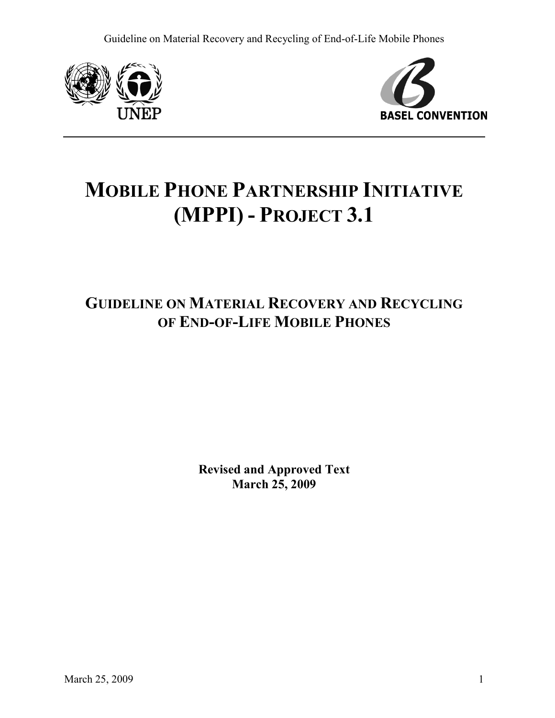



# **MOBILE PHONE PARTNERSHIP INITIATIVE (MPPI) - PROJECT 3.1**

## **GUIDELINE ON MATERIAL RECOVERY AND RECYCLING OF END-OF-LIFE MOBILE PHONES**

**Revised and Approved Text March 25, 2009**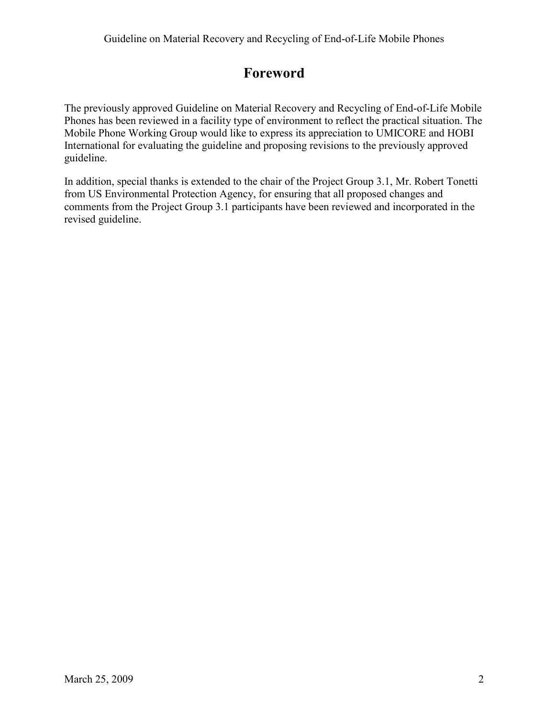## **Foreword**

The previously approved Guideline on Material Recovery and Recycling of End-of-Life Mobile Phones has been reviewed in a facility type of environment to reflect the practical situation. The Mobile Phone Working Group would like to express its appreciation to UMICORE and HOBI International for evaluating the guideline and proposing revisions to the previously approved guideline.

In addition, special thanks is extended to the chair of the Project Group 3.1, Mr. Robert Tonetti from US Environmental Protection Agency, for ensuring that all proposed changes and comments from the Project Group 3.1 participants have been reviewed and incorporated in the revised guideline.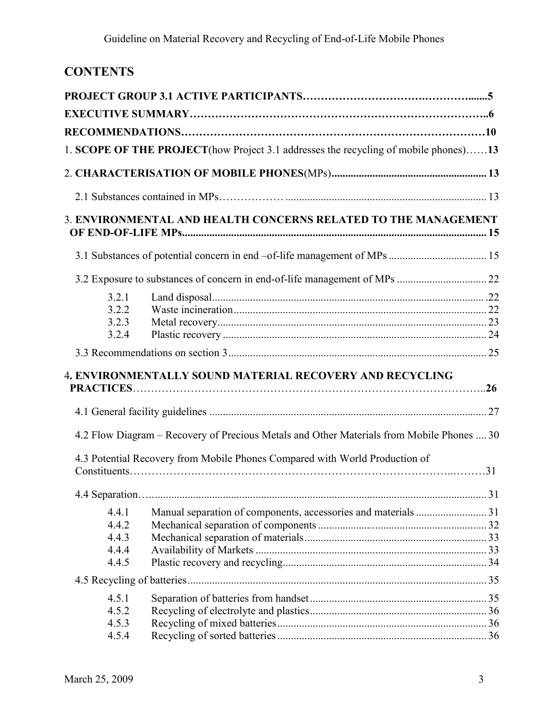## **CONTENTS**

|                                           | 1. SCOPE OF THE PROJECT (how Project 3.1 addresses the recycling of mobile phones)13                                                                                                         |  |
|-------------------------------------------|----------------------------------------------------------------------------------------------------------------------------------------------------------------------------------------------|--|
|                                           |                                                                                                                                                                                              |  |
|                                           |                                                                                                                                                                                              |  |
|                                           | 3. ENVIRONMENTAL AND HEALTH CONCERNS RELATED TO THE MANAGEMENT                                                                                                                               |  |
|                                           |                                                                                                                                                                                              |  |
|                                           |                                                                                                                                                                                              |  |
| 3.2.1<br>3.2.2<br>3.2.3<br>3.2.4          |                                                                                                                                                                                              |  |
|                                           |                                                                                                                                                                                              |  |
|                                           | 4. ENVIRONMENTALLY SOUND MATERIAL RECOVERY AND RECYCLING                                                                                                                                     |  |
|                                           |                                                                                                                                                                                              |  |
|                                           | 4.2 Flow Diagram - Recovery of Precious Metals and Other Materials from Mobile Phones  30<br>4.3 Potential Recovery from Mobile Phones Compared with World Production of<br>$Construct$ $31$ |  |
|                                           |                                                                                                                                                                                              |  |
| 4.4.1<br>4.4.2<br>4.4.3<br>4.4.4<br>4.4.5 |                                                                                                                                                                                              |  |
|                                           |                                                                                                                                                                                              |  |
| 4.5.1<br>4.5.2<br>4.5.3<br>4.5.4          |                                                                                                                                                                                              |  |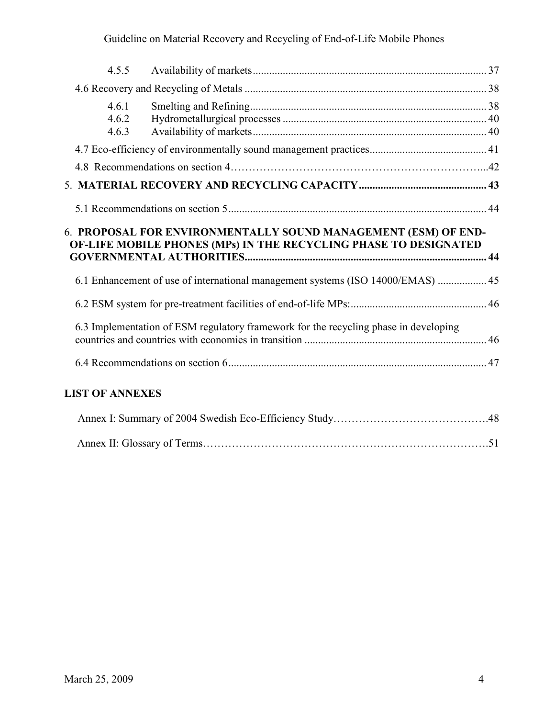|  | 4.5.5                   |                                                                                                                                    |  |  |  |
|--|-------------------------|------------------------------------------------------------------------------------------------------------------------------------|--|--|--|
|  |                         |                                                                                                                                    |  |  |  |
|  | 4.6.1<br>4.6.2<br>4.6.3 |                                                                                                                                    |  |  |  |
|  |                         |                                                                                                                                    |  |  |  |
|  |                         |                                                                                                                                    |  |  |  |
|  |                         |                                                                                                                                    |  |  |  |
|  |                         |                                                                                                                                    |  |  |  |
|  |                         |                                                                                                                                    |  |  |  |
|  |                         | 6. PROPOSAL FOR ENVIRONMENTALLY SOUND MANAGEMENT (ESM) OF END-<br>OF-LIFE MOBILE PHONES (MPs) IN THE RECYCLING PHASE TO DESIGNATED |  |  |  |
|  |                         | 6.1 Enhancement of use of international management systems (ISO 14000/EMAS)  45                                                    |  |  |  |
|  |                         |                                                                                                                                    |  |  |  |
|  |                         | 6.3 Implementation of ESM regulatory framework for the recycling phase in developing                                               |  |  |  |
|  |                         |                                                                                                                                    |  |  |  |
|  | <b>LIST OF ANNEXES</b>  |                                                                                                                                    |  |  |  |

|--|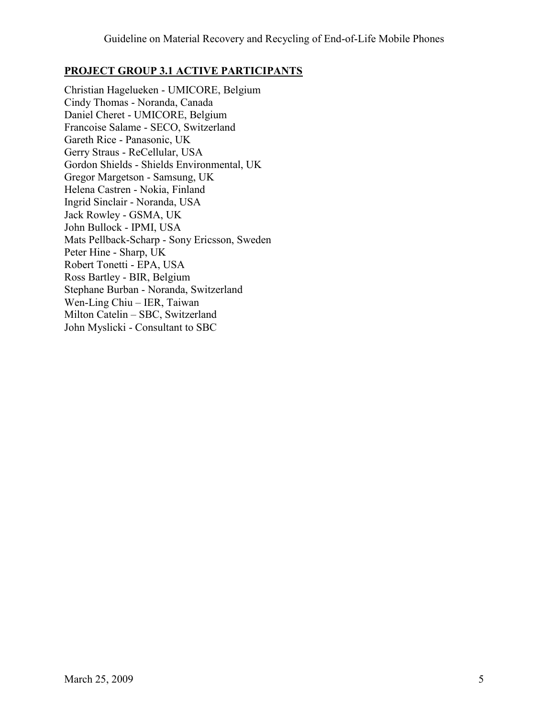#### **PROJECT GROUP 3.1 ACTIVE PARTICIPANTS**

Christian Hagelueken - UMICORE, Belgium Cindy Thomas - Noranda, Canada Daniel Cheret - UMICORE, Belgium Francoise Salame - SECO, Switzerland Gareth Rice - Panasonic, UK Gerry Straus - ReCellular, USA Gordon Shields - Shields Environmental, UK Gregor Margetson - Samsung, UK Helena Castren - Nokia, Finland Ingrid Sinclair - Noranda, USA Jack Rowley - GSMA, UK John Bullock - IPMI, USA Mats Pellback-Scharp - Sony Ericsson, Sweden Peter Hine - Sharp, UK Robert Tonetti - EPA, USA Ross Bartley - BIR, Belgium Stephane Burban - Noranda, Switzerland Wen-Ling Chiu – IER, Taiwan Milton Catelin – SBC, Switzerland John Myslicki - Consultant to SBC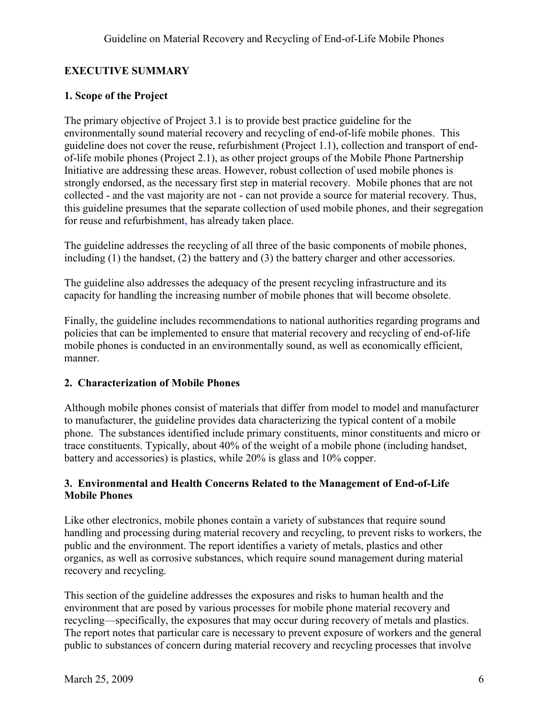#### **EXECUTIVE SUMMARY**

#### **1. Scope of the Project**

The primary objective of Project 3.1 is to provide best practice guideline for the environmentally sound material recovery and recycling of end-of-life mobile phones. This guideline does not cover the reuse, refurbishment (Project 1.1), collection and transport of endof-life mobile phones (Project 2.1), as other project groups of the Mobile Phone Partnership Initiative are addressing these areas. However, robust collection of used mobile phones is strongly endorsed, as the necessary first step in material recovery. Mobile phones that are not collected - and the vast majority are not - can not provide a source for material recovery. Thus, this guideline presumes that the separate collection of used mobile phones, and their segregation for reuse and refurbishment, has already taken place.

The guideline addresses the recycling of all three of the basic components of mobile phones, including (1) the handset, (2) the battery and (3) the battery charger and other accessories.

The guideline also addresses the adequacy of the present recycling infrastructure and its capacity for handling the increasing number of mobile phones that will become obsolete.

Finally, the guideline includes recommendations to national authorities regarding programs and policies that can be implemented to ensure that material recovery and recycling of end-of-life mobile phones is conducted in an environmentally sound, as well as economically efficient, manner.

#### **2. Characterization of Mobile Phones**

Although mobile phones consist of materials that differ from model to model and manufacturer to manufacturer, the guideline provides data characterizing the typical content of a mobile phone. The substances identified include primary constituents, minor constituents and micro or trace constituents. Typically, about 40% of the weight of a mobile phone (including handset, battery and accessories) is plastics, while 20% is glass and 10% copper.

#### **3. Environmental and Health Concerns Related to the Management of End-of-Life Mobile Phones**

Like other electronics, mobile phones contain a variety of substances that require sound handling and processing during material recovery and recycling, to prevent risks to workers, the public and the environment. The report identifies a variety of metals, plastics and other organics, as well as corrosive substances, which require sound management during material recovery and recycling.

This section of the guideline addresses the exposures and risks to human health and the environment that are posed by various processes for mobile phone material recovery and recycling—specifically, the exposures that may occur during recovery of metals and plastics. The report notes that particular care is necessary to prevent exposure of workers and the general public to substances of concern during material recovery and recycling processes that involve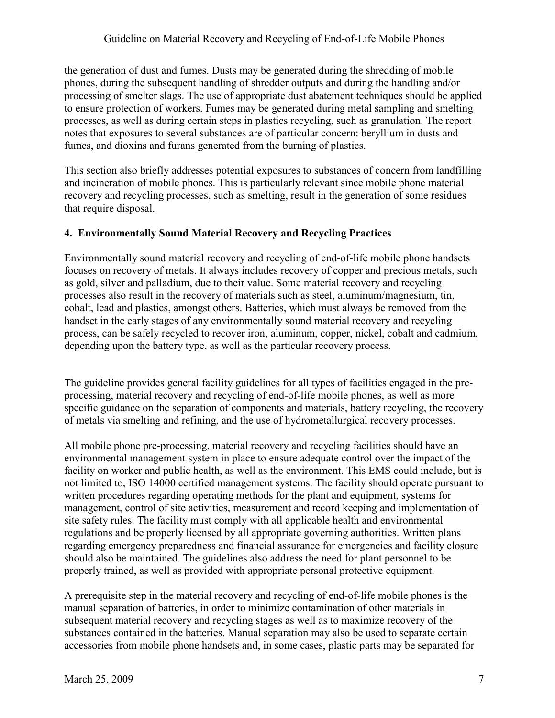the generation of dust and fumes. Dusts may be generated during the shredding of mobile phones, during the subsequent handling of shredder outputs and during the handling and/or processing of smelter slags. The use of appropriate dust abatement techniques should be applied to ensure protection of workers. Fumes may be generated during metal sampling and smelting processes, as well as during certain steps in plastics recycling, such as granulation. The report notes that exposures to several substances are of particular concern: beryllium in dusts and fumes, and dioxins and furans generated from the burning of plastics.

This section also briefly addresses potential exposures to substances of concern from landfilling and incineration of mobile phones. This is particularly relevant since mobile phone material recovery and recycling processes, such as smelting, result in the generation of some residues that require disposal.

#### **4. Environmentally Sound Material Recovery and Recycling Practices**

Environmentally sound material recovery and recycling of end-of-life mobile phone handsets focuses on recovery of metals. It always includes recovery of copper and precious metals, such as gold, silver and palladium, due to their value. Some material recovery and recycling processes also result in the recovery of materials such as steel, aluminum/magnesium, tin, cobalt, lead and plastics, amongst others. Batteries, which must always be removed from the handset in the early stages of any environmentally sound material recovery and recycling process, can be safely recycled to recover iron, aluminum, copper, nickel, cobalt and cadmium, depending upon the battery type, as well as the particular recovery process.

The guideline provides general facility guidelines for all types of facilities engaged in the preprocessing, material recovery and recycling of end-of-life mobile phones, as well as more specific guidance on the separation of components and materials, battery recycling, the recovery of metals via smelting and refining, and the use of hydrometallurgical recovery processes.

All mobile phone pre-processing, material recovery and recycling facilities should have an environmental management system in place to ensure adequate control over the impact of the facility on worker and public health, as well as the environment. This EMS could include, but is not limited to, ISO 14000 certified management systems. The facility should operate pursuant to written procedures regarding operating methods for the plant and equipment, systems for management, control of site activities, measurement and record keeping and implementation of site safety rules. The facility must comply with all applicable health and environmental regulations and be properly licensed by all appropriate governing authorities. Written plans regarding emergency preparedness and financial assurance for emergencies and facility closure should also be maintained. The guidelines also address the need for plant personnel to be properly trained, as well as provided with appropriate personal protective equipment.

A prerequisite step in the material recovery and recycling of end-of-life mobile phones is the manual separation of batteries, in order to minimize contamination of other materials in subsequent material recovery and recycling stages as well as to maximize recovery of the substances contained in the batteries. Manual separation may also be used to separate certain accessories from mobile phone handsets and, in some cases, plastic parts may be separated for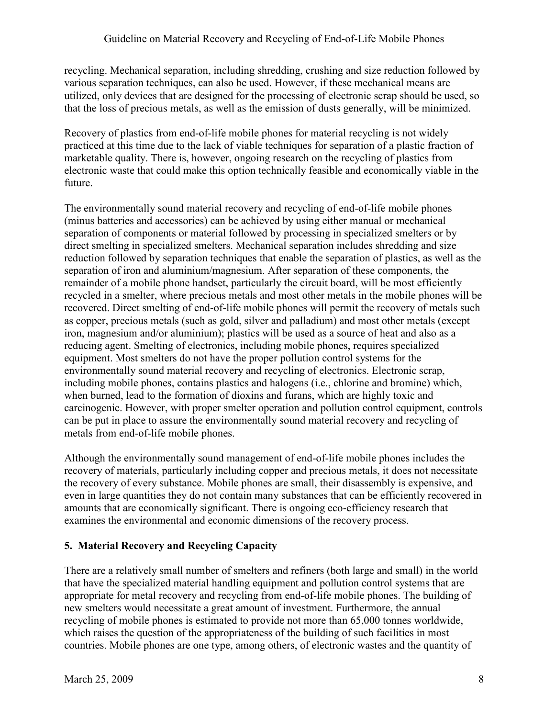recycling. Mechanical separation, including shredding, crushing and size reduction followed by various separation techniques, can also be used. However, if these mechanical means are utilized, only devices that are designed for the processing of electronic scrap should be used, so that the loss of precious metals, as well as the emission of dusts generally, will be minimized.

Recovery of plastics from end-of-life mobile phones for material recycling is not widely practiced at this time due to the lack of viable techniques for separation of a plastic fraction of marketable quality. There is, however, ongoing research on the recycling of plastics from electronic waste that could make this option technically feasible and economically viable in the future.

The environmentally sound material recovery and recycling of end-of-life mobile phones (minus batteries and accessories) can be achieved by using either manual or mechanical separation of components or material followed by processing in specialized smelters or by direct smelting in specialized smelters. Mechanical separation includes shredding and size reduction followed by separation techniques that enable the separation of plastics, as well as the separation of iron and aluminium/magnesium. After separation of these components, the remainder of a mobile phone handset, particularly the circuit board, will be most efficiently recycled in a smelter, where precious metals and most other metals in the mobile phones will be recovered. Direct smelting of end-of-life mobile phones will permit the recovery of metals such as copper, precious metals (such as gold, silver and palladium) and most other metals (except iron, magnesium and/or aluminium); plastics will be used as a source of heat and also as a reducing agent. Smelting of electronics, including mobile phones, requires specialized equipment. Most smelters do not have the proper pollution control systems for the environmentally sound material recovery and recycling of electronics. Electronic scrap, including mobile phones, contains plastics and halogens (i.e., chlorine and bromine) which, when burned, lead to the formation of dioxins and furans, which are highly toxic and carcinogenic. However, with proper smelter operation and pollution control equipment, controls can be put in place to assure the environmentally sound material recovery and recycling of metals from end-of-life mobile phones.

Although the environmentally sound management of end-of-life mobile phones includes the recovery of materials, particularly including copper and precious metals, it does not necessitate the recovery of every substance. Mobile phones are small, their disassembly is expensive, and even in large quantities they do not contain many substances that can be efficiently recovered in amounts that are economically significant. There is ongoing eco-efficiency research that examines the environmental and economic dimensions of the recovery process.

#### **5. Material Recovery and Recycling Capacity**

There are a relatively small number of smelters and refiners (both large and small) in the world that have the specialized material handling equipment and pollution control systems that are appropriate for metal recovery and recycling from end-of-life mobile phones. The building of new smelters would necessitate a great amount of investment. Furthermore, the annual recycling of mobile phones is estimated to provide not more than 65,000 tonnes worldwide, which raises the question of the appropriateness of the building of such facilities in most countries. Mobile phones are one type, among others, of electronic wastes and the quantity of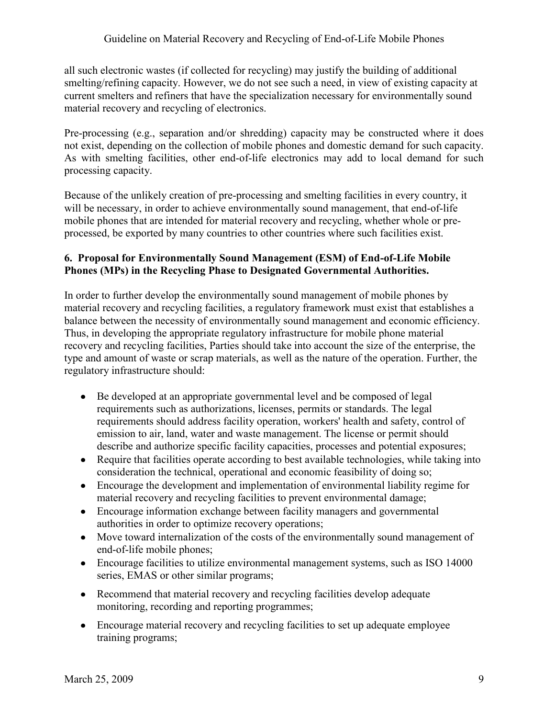all such electronic wastes (if collected for recycling) may justify the building of additional smelting/refining capacity. However, we do not see such a need, in view of existing capacity at current smelters and refiners that have the specialization necessary for environmentally sound material recovery and recycling of electronics.

Pre-processing (e.g., separation and/or shredding) capacity may be constructed where it does not exist, depending on the collection of mobile phones and domestic demand for such capacity. As with smelting facilities, other end-of-life electronics may add to local demand for such processing capacity.

Because of the unlikely creation of pre-processing and smelting facilities in every country, it will be necessary, in order to achieve environmentally sound management, that end-of-life mobile phones that are intended for material recovery and recycling, whether whole or preprocessed, be exported by many countries to other countries where such facilities exist.

#### **6. Proposal for Environmentally Sound Management (ESM) of End-of-Life Mobile Phones (MPs) in the Recycling Phase to Designated Governmental Authorities.**

In order to further develop the environmentally sound management of mobile phones by material recovery and recycling facilities, a regulatory framework must exist that establishes a balance between the necessity of environmentally sound management and economic efficiency. Thus, in developing the appropriate regulatory infrastructure for mobile phone material recovery and recycling facilities, Parties should take into account the size of the enterprise, the type and amount of waste or scrap materials, as well as the nature of the operation. Further, the regulatory infrastructure should:

- Be developed at an appropriate governmental level and be composed of legal requirements such as authorizations, licenses, permits or standards. The legal requirements should address facility operation, workers' health and safety, control of emission to air, land, water and waste management. The license or permit should describe and authorize specific facility capacities, processes and potential exposures;
- Require that facilities operate according to best available technologies, while taking into consideration the technical, operational and economic feasibility of doing so;
- Encourage the development and implementation of environmental liability regime for material recovery and recycling facilities to prevent environmental damage;
- Encourage information exchange between facility managers and governmental authorities in order to optimize recovery operations;
- Move toward internalization of the costs of the environmentally sound management of end-of-life mobile phones;
- Encourage facilities to utilize environmental management systems, such as ISO 14000 series, EMAS or other similar programs;
- $\bullet$ Recommend that material recovery and recycling facilities develop adequate monitoring, recording and reporting programmes;
- Encourage material recovery and recycling facilities to set up adequate employee  $\bullet$ training programs;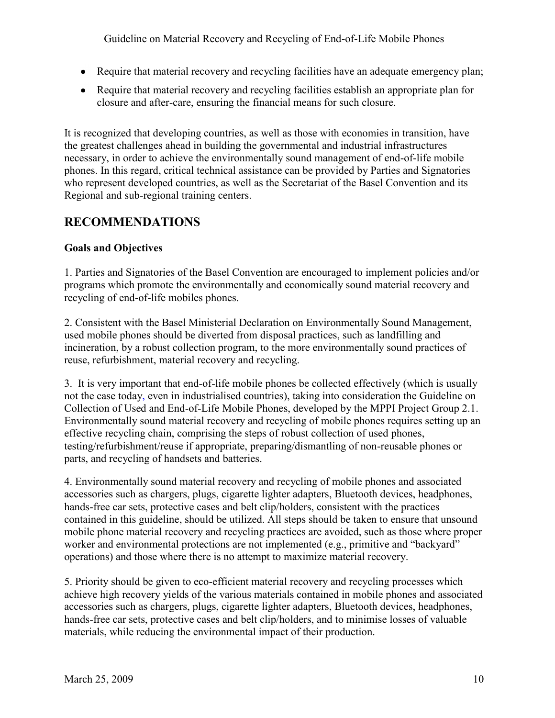- Require that material recovery and recycling facilities have an adequate emergency plan;
- Require that material recovery and recycling facilities establish an appropriate plan for closure and after-care, ensuring the financial means for such closure.

It is recognized that developing countries, as well as those with economies in transition, have the greatest challenges ahead in building the governmental and industrial infrastructures necessary, in order to achieve the environmentally sound management of end-of-life mobile phones. In this regard, critical technical assistance can be provided by Parties and Signatories who represent developed countries, as well as the Secretariat of the Basel Convention and its Regional and sub-regional training centers.

## **RECOMMENDATIONS**

#### **Goals and Objectives**

1. Parties and Signatories of the Basel Convention are encouraged to implement policies and/or programs which promote the environmentally and economically sound material recovery and recycling of end-of-life mobiles phones.

2. Consistent with the Basel Ministerial Declaration on Environmentally Sound Management, used mobile phones should be diverted from disposal practices, such as landfilling and incineration, by a robust collection program, to the more environmentally sound practices of reuse, refurbishment, material recovery and recycling.

3. It is very important that end-of-life mobile phones be collected effectively (which is usually not the case today, even in industrialised countries), taking into consideration the Guideline on Collection of Used and End-of-Life Mobile Phones, developed by the MPPI Project Group 2.1. Environmentally sound material recovery and recycling of mobile phones requires setting up an effective recycling chain, comprising the steps of robust collection of used phones, testing/refurbishment/reuse if appropriate, preparing/dismantling of non-reusable phones or parts, and recycling of handsets and batteries.

4. Environmentally sound material recovery and recycling of mobile phones and associated accessories such as chargers, plugs, cigarette lighter adapters, Bluetooth devices, headphones, hands-free car sets, protective cases and belt clip/holders, consistent with the practices contained in this guideline, should be utilized. All steps should be taken to ensure that unsound mobile phone material recovery and recycling practices are avoided, such as those where proper worker and environmental protections are not implemented (e.g., primitive and "backyard" operations) and those where there is no attempt to maximize material recovery.

5. Priority should be given to eco-efficient material recovery and recycling processes which achieve high recovery yields of the various materials contained in mobile phones and associated accessories such as chargers, plugs, cigarette lighter adapters, Bluetooth devices, headphones, hands-free car sets, protective cases and belt clip/holders, and to minimise losses of valuable materials, while reducing the environmental impact of their production.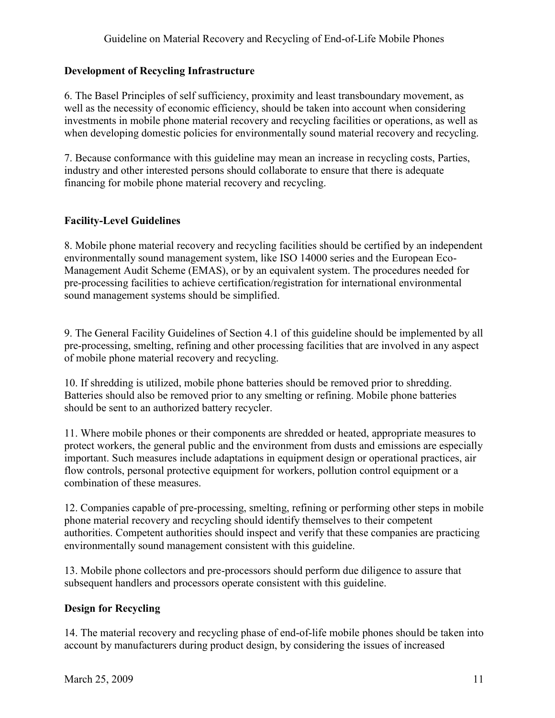#### **Development of Recycling Infrastructure**

6. The Basel Principles of self sufficiency, proximity and least transboundary movement, as well as the necessity of economic efficiency, should be taken into account when considering investments in mobile phone material recovery and recycling facilities or operations, as well as when developing domestic policies for environmentally sound material recovery and recycling.

7. Because conformance with this guideline may mean an increase in recycling costs, Parties, industry and other interested persons should collaborate to ensure that there is adequate financing for mobile phone material recovery and recycling.

#### **Facility-Level Guidelines**

8. Mobile phone material recovery and recycling facilities should be certified by an independent environmentally sound management system, like ISO 14000 series and the European Eco-Management Audit Scheme (EMAS), or by an equivalent system. The procedures needed for pre-processing facilities to achieve certification/registration for international environmental sound management systems should be simplified.

9. The General Facility Guidelines of Section 4.1 of this guideline should be implemented by all pre-processing, smelting, refining and other processing facilities that are involved in any aspect of mobile phone material recovery and recycling.

10. If shredding is utilized, mobile phone batteries should be removed prior to shredding. Batteries should also be removed prior to any smelting or refining. Mobile phone batteries should be sent to an authorized battery recycler.

11. Where mobile phones or their components are shredded or heated, appropriate measures to protect workers, the general public and the environment from dusts and emissions are especially important. Such measures include adaptations in equipment design or operational practices, air flow controls, personal protective equipment for workers, pollution control equipment or a combination of these measures.

12. Companies capable of pre-processing, smelting, refining or performing other steps in mobile phone material recovery and recycling should identify themselves to their competent authorities. Competent authorities should inspect and verify that these companies are practicing environmentally sound management consistent with this guideline.

13. Mobile phone collectors and pre-processors should perform due diligence to assure that subsequent handlers and processors operate consistent with this guideline.

#### **Design for Recycling**

14. The material recovery and recycling phase of end-of-life mobile phones should be taken into account by manufacturers during product design, by considering the issues of increased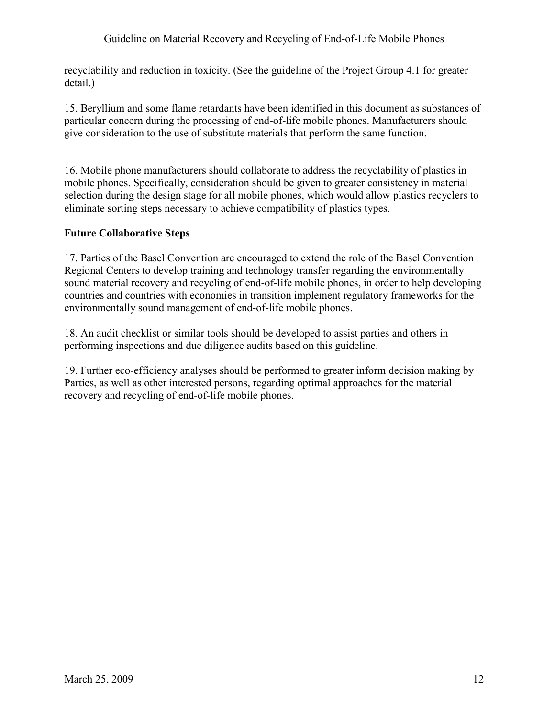recyclability and reduction in toxicity. (See the guideline of the Project Group 4.1 for greater detail.)

15. Beryllium and some flame retardants have been identified in this document as substances of particular concern during the processing of end-of-life mobile phones. Manufacturers should give consideration to the use of substitute materials that perform the same function.

16. Mobile phone manufacturers should collaborate to address the recyclability of plastics in mobile phones. Specifically, consideration should be given to greater consistency in material selection during the design stage for all mobile phones, which would allow plastics recyclers to eliminate sorting steps necessary to achieve compatibility of plastics types.

#### **Future Collaborative Steps**

17. Parties of the Basel Convention are encouraged to extend the role of the Basel Convention Regional Centers to develop training and technology transfer regarding the environmentally sound material recovery and recycling of end-of-life mobile phones, in order to help developing countries and countries with economies in transition implement regulatory frameworks for the environmentally sound management of end-of-life mobile phones.

18. An audit checklist or similar tools should be developed to assist parties and others in performing inspections and due diligence audits based on this guideline.

19. Further eco-efficiency analyses should be performed to greater inform decision making by Parties, as well as other interested persons, regarding optimal approaches for the material recovery and recycling of end-of-life mobile phones.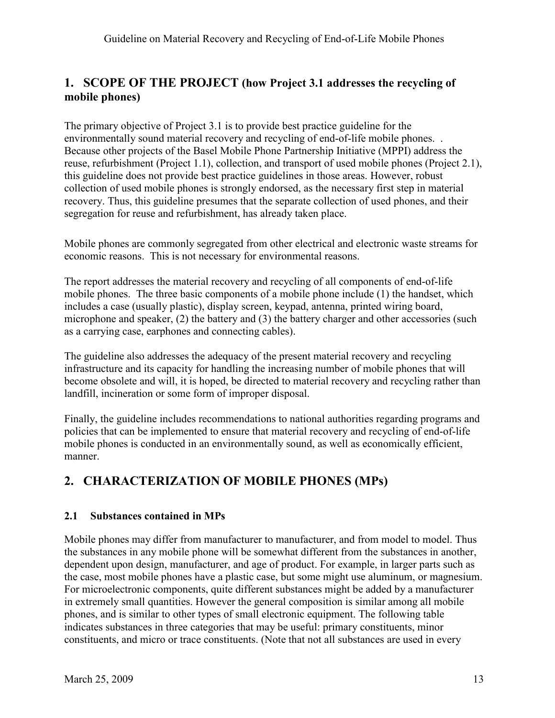### <span id="page-12-0"></span>**1. SCOPE OF THE PROJECT (how Project 3.1 addresses the recycling of mobile phones)**

The primary objective of Project 3.1 is to provide best practice guideline for the environmentally sound material recovery and recycling of end-of-life mobile phones. . Because other projects of the Basel Mobile Phone Partnership Initiative (MPPI) address the reuse, refurbishment (Project 1.1), collection, and transport of used mobile phones (Project 2.1), this guideline does not provide best practice guidelines in those areas. However, robust collection of used mobile phones is strongly endorsed, as the necessary first step in material recovery. Thus, this guideline presumes that the separate collection of used phones, and their segregation for reuse and refurbishment, has already taken place.

Mobile phones are commonly segregated from other electrical and electronic waste streams for economic reasons. This is not necessary for environmental reasons.

The report addresses the material recovery and recycling of all components of end-of-life mobile phones. The three basic components of a mobile phone include (1) the handset, which includes a case (usually plastic), display screen, keypad, antenna, printed wiring board, microphone and speaker, (2) the battery and (3) the battery charger and other accessories (such as a carrying case, earphones and connecting cables).

The guideline also addresses the adequacy of the present material recovery and recycling infrastructure and its capacity for handling the increasing number of mobile phones that will become obsolete and will, it is hoped, be directed to material recovery and recycling rather than landfill, incineration or some form of improper disposal.

Finally, the guideline includes recommendations to national authorities regarding programs and policies that can be implemented to ensure that material recovery and recycling of end-of-life mobile phones is conducted in an environmentally sound, as well as economically efficient, manner.

## <span id="page-12-1"></span>**2. CHARACTERIZATION OF MOBILE PHONES (MPs)**

#### <span id="page-12-2"></span>**2.1 Substances contained in MPs**

Mobile phones may differ from manufacturer to manufacturer, and from model to model. Thus the substances in any mobile phone will be somewhat different from the substances in another, dependent upon design, manufacturer, and age of product. For example, in larger parts such as the case, most mobile phones have a plastic case, but some might use aluminum, or magnesium. For microelectronic components, quite different substances might be added by a manufacturer in extremely small quantities. However the general composition is similar among all mobile phones, and is similar to other types of small electronic equipment. The following table indicates substances in three categories that may be useful: primary constituents, minor constituents, and micro or trace constituents. (Note that not all substances are used in every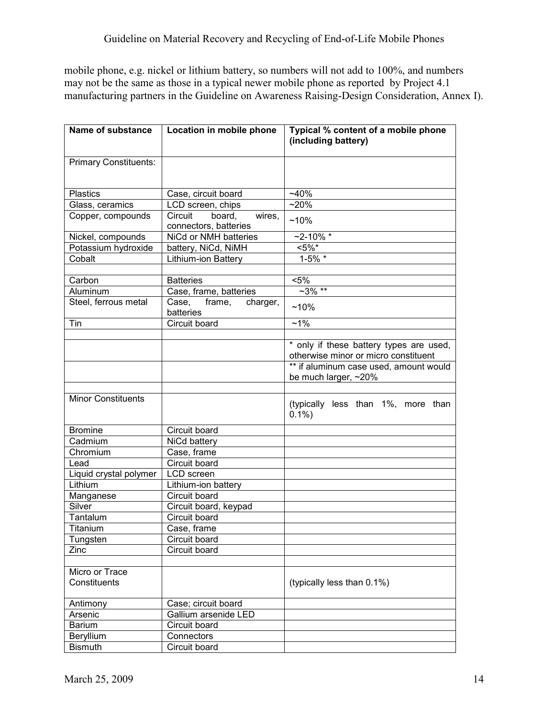mobile phone, e.g. nickel or lithium battery, so numbers will not add to 100%, and numbers metric phone, e.g. model of numal battery, so halliests with her did to 100%, and halliest may not be the same as those in a typical newer mobile phone as reported by Project 4.1 manufacturing partners in the Guideline on Awareness Raising-Design Consideration, Annex I).

| Name of substance              | Location in mobile phone                             | Typical % content of a mobile phone<br>(including battery)                      |  |  |  |
|--------------------------------|------------------------------------------------------|---------------------------------------------------------------------------------|--|--|--|
| <b>Primary Constituents:</b>   |                                                      |                                                                                 |  |  |  |
| <b>Plastics</b>                | Case, circuit board                                  | $~140\%$                                                                        |  |  |  |
| Glass, ceramics                | LCD screen, chips                                    | $~20\%$                                                                         |  |  |  |
| Copper, compounds              | Circuit<br>board,<br>wires,<br>connectors, batteries | $~10\%$                                                                         |  |  |  |
| Nickel, compounds              | NiCd or NMH batteries                                | $~2$ -10% $*$                                                                   |  |  |  |
| Potassium hydroxide            | battery, NiCd, NiMH                                  | $< 5\%$ *                                                                       |  |  |  |
| Cobalt                         | <b>Lithium-ion Battery</b>                           | $1-5%$ *                                                                        |  |  |  |
|                                |                                                      |                                                                                 |  |  |  |
| Carbon                         | <b>Batteries</b>                                     | $< 5\%$                                                                         |  |  |  |
| Aluminum                       | Case, frame, batteries                               | $~12\%$ **                                                                      |  |  |  |
| Steel, ferrous metal           | Case,<br>frame,<br>charger,<br>batteries             | $~10\%$                                                                         |  |  |  |
| Tin                            | Circuit board                                        | $~1\%$                                                                          |  |  |  |
|                                |                                                      |                                                                                 |  |  |  |
|                                |                                                      | * only if these battery types are used,<br>otherwise minor or micro constituent |  |  |  |
|                                |                                                      | ** if aluminum case used, amount would<br>be much larger, ~20%                  |  |  |  |
|                                |                                                      |                                                                                 |  |  |  |
| <b>Minor Constituents</b>      |                                                      | (typically less than 1%, more than<br>$0.1\%$ )                                 |  |  |  |
| <b>Bromine</b>                 | Circuit board                                        |                                                                                 |  |  |  |
| Cadmium                        | NiCd battery                                         |                                                                                 |  |  |  |
| Chromium                       | Case, frame                                          |                                                                                 |  |  |  |
| Lead                           | Circuit board                                        |                                                                                 |  |  |  |
| Liquid crystal polymer         | LCD screen                                           |                                                                                 |  |  |  |
| Lithium                        | Lithium-ion battery                                  |                                                                                 |  |  |  |
| Manganese                      | Circuit board                                        |                                                                                 |  |  |  |
| Silver                         | Circuit board, keypad                                |                                                                                 |  |  |  |
| Tantalum                       | Circuit board                                        |                                                                                 |  |  |  |
| Titanium                       | Case, frame                                          |                                                                                 |  |  |  |
| Tungsten                       | Circuit board                                        |                                                                                 |  |  |  |
| Zinc                           | Circuit board                                        |                                                                                 |  |  |  |
|                                |                                                      |                                                                                 |  |  |  |
| Micro or Trace<br>Constituents |                                                      | (typically less than 0.1%)                                                      |  |  |  |
| Antimony                       | Case; circuit board                                  |                                                                                 |  |  |  |
| Arsenic                        | Gallium arsenide LED                                 |                                                                                 |  |  |  |
| <b>Barium</b>                  | Circuit board                                        |                                                                                 |  |  |  |
| Beryllium                      | Connectors                                           |                                                                                 |  |  |  |
| <b>Bismuth</b>                 | Circuit board                                        |                                                                                 |  |  |  |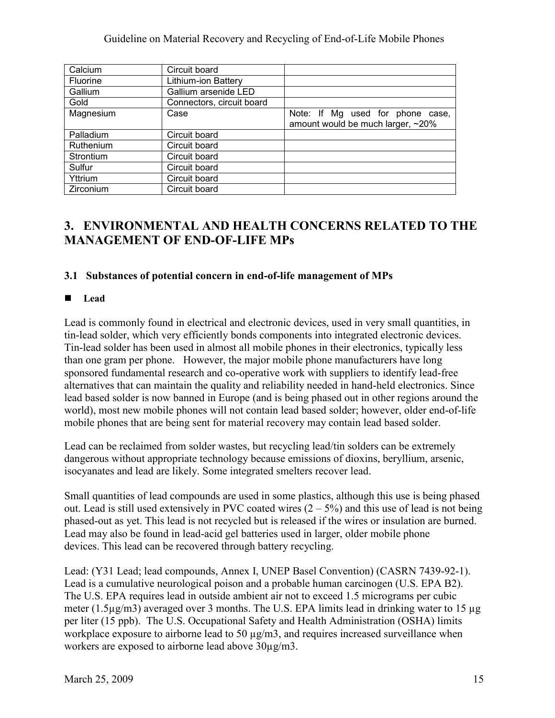| Calcium         | Circuit board             |                                   |
|-----------------|---------------------------|-----------------------------------|
| <b>Fluorine</b> | Lithium-ion Battery       |                                   |
| Gallium         | Gallium arsenide LED      |                                   |
| Gold            | Connectors, circuit board |                                   |
| Magnesium       | Case                      | Note: If Mg used for phone case,  |
|                 |                           | amount would be much larger, ~20% |
| Palladium       | Circuit board             |                                   |
| Ruthenium       | Circuit board             |                                   |
| Strontium       | Circuit board             |                                   |
| Sulfur          | Circuit board             |                                   |
| Yttrium         | Circuit board             |                                   |
| Zirconium       | Circuit board             |                                   |

### <span id="page-14-0"></span>**3. ENVIRONMENTAL AND HEALTH CONCERNS RELATED TO THE MANAGEMENT OF END-OF-LIFE MPs**

#### <span id="page-14-1"></span>**3.1 Substances of potential concern in end-of-life management of MPs**

#### **Lead**

Lead is commonly found in electrical and electronic devices, used in very small quantities, in tin-lead solder, which very efficiently bonds components into integrated electronic devices. Tin-lead solder has been used in almost all mobile phones in their electronics, typically less than one gram per phone. However, the major mobile phone manufacturers have long sponsored fundamental research and co-operative work with suppliers to identify lead-free alternatives that can maintain the quality and reliability needed in hand-held electronics. Since lead based solder is now banned in Europe (and is being phased out in other regions around the world), most new mobile phones will not contain lead based solder; however, older end-of-life mobile phones that are being sent for material recovery may contain lead based solder.

Lead can be reclaimed from solder wastes, but recycling lead/tin solders can be extremely dangerous without appropriate technology because emissions of dioxins, beryllium, arsenic, isocyanates and lead are likely. Some integrated smelters recover lead.

Small quantities of lead compounds are used in some plastics, although this use is being phased out. Lead is still used extensively in PVC coated wires  $(2 - 5%)$  and this use of lead is not being phased-out as yet. This lead is not recycled but is released if the wires or insulation are burned. Lead may also be found in lead-acid gel batteries used in larger, older mobile phone devices. This lead can be recovered through battery recycling.

Lead: (Y31 Lead; lead compounds, Annex I, UNEP Basel Convention) (CASRN 7439-92-1). Lead is a cumulative neurological poison and a probable human carcinogen (U.S. EPA B2). The U.S. EPA requires lead in outside ambient air not to exceed 1.5 micrograms per cubic meter (1.5µg/m3) averaged over 3 months. The U.S. EPA limits lead in drinking water to 15 µg per liter (15 ppb). The U.S. Occupational Safety and Health Administration (OSHA) limits workplace exposure to airborne lead to 50  $\mu$ g/m3, and requires increased surveillance when workers are exposed to airborne lead above 30µg/m3.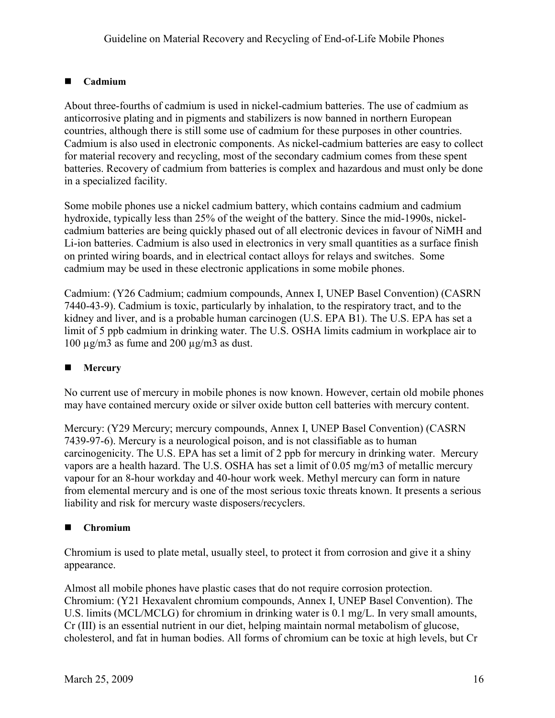#### **Cadmium**

About three-fourths of cadmium is used in nickel-cadmium batteries. The use of cadmium as anticorrosive plating and in pigments and stabilizers is now banned in northern European countries, although there is still some use of cadmium for these purposes in other countries. Cadmium is also used in electronic components. As nickel-cadmium batteries are easy to collect for material recovery and recycling, most of the secondary cadmium comes from these spent batteries. Recovery of cadmium from batteries is complex and hazardous and must only be done in a specialized facility.

Some mobile phones use a nickel cadmium battery, which contains cadmium and cadmium hydroxide, typically less than 25% of the weight of the battery. Since the mid-1990s, nickelcadmium batteries are being quickly phased out of all electronic devices in favour of NiMH and Li-ion batteries. Cadmium is also used in electronics in very small quantities as a surface finish on printed wiring boards, and in electrical contact alloys for relays and switches. Some cadmium may be used in these electronic applications in some mobile phones.

Cadmium: (Y26 Cadmium; cadmium compounds, Annex I, UNEP Basel Convention) (CASRN 7440-43-9). Cadmium is toxic, particularly by inhalation, to the respiratory tract, and to the kidney and liver, and is a probable human carcinogen (U.S. EPA B1). The U.S. EPA has set a limit of 5 ppb cadmium in drinking water. The U.S. OSHA limits cadmium in workplace air to 100  $\mu$ g/m3 as fume and 200  $\mu$ g/m3 as dust.

#### **Mercury**

No current use of mercury in mobile phones is now known. However, certain old mobile phones may have contained mercury oxide or silver oxide button cell batteries with mercury content.

Mercury: (Y29 Mercury; mercury compounds, Annex I, UNEP Basel Convention) (CASRN 7439-97-6). Mercury is a neurological poison, and is not classifiable as to human carcinogenicity. The U.S. EPA has set a limit of 2 ppb for mercury in drinking water. Mercury vapors are a health hazard. The U.S. OSHA has set a limit of 0.05 mg/m3 of metallic mercury vapour for an 8-hour workday and 40-hour work week. Methyl mercury can form in nature from elemental mercury and is one of the most serious toxic threats known. It presents a serious liability and risk for mercury waste disposers/recyclers.

#### **Chromium**

Chromium is used to plate metal, usually steel, to protect it from corrosion and give it a shiny appearance.

Almost all mobile phones have plastic cases that do not require corrosion protection. Chromium: (Y21 Hexavalent chromium compounds, Annex I, UNEP Basel Convention). The U.S. limits (MCL/MCLG) for chromium in drinking water is 0.1 mg/L. In very small amounts, Cr (III) is an essential nutrient in our diet, helping maintain normal metabolism of glucose, cholesterol, and fat in human bodies. All forms of chromium can be toxic at high levels, but Cr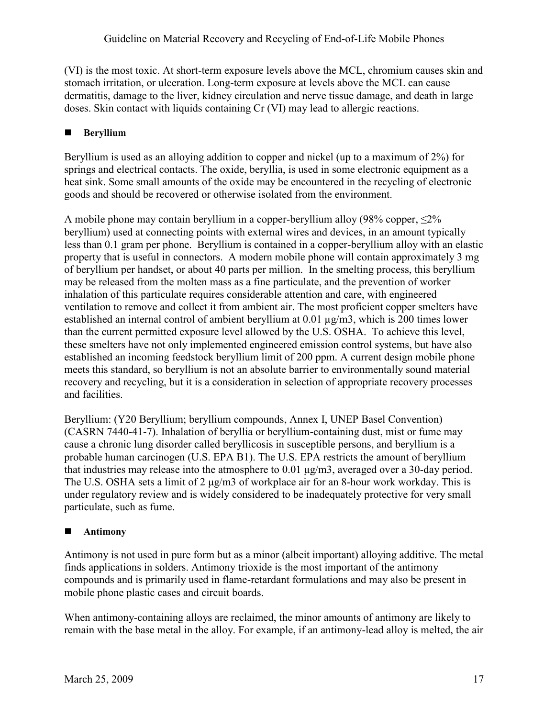(VI) is the most toxic. At short-term exposure levels above the MCL, chromium causes skin and stomach irritation, or ulceration. Long-term exposure at levels above the MCL can cause dermatitis, damage to the liver, kidney circulation and nerve tissue damage, and death in large doses. Skin contact with liquids containing Cr (VI) may lead to allergic reactions.

#### **Beryllium**

Beryllium is used as an alloying addition to copper and nickel (up to a maximum of 2%) for springs and electrical contacts. The oxide, beryllia, is used in some electronic equipment as a heat sink. Some small amounts of the oxide may be encountered in the recycling of electronic goods and should be recovered or otherwise isolated from the environment.

A mobile phone may contain beryllium in a copper-beryllium alloy (98% copper, ≤2% beryllium) used at connecting points with external wires and devices, in an amount typically less than 0.1 gram per phone. Beryllium is contained in a copper-beryllium alloy with an elastic property that is useful in connectors. A modern mobile phone will contain approximately 3 mg of beryllium per handset, or about 40 parts per million. In the smelting process, this beryllium may be released from the molten mass as a fine particulate, and the prevention of worker inhalation of this particulate requires considerable attention and care, with engineered ventilation to remove and collect it from ambient air. The most proficient copper smelters have established an internal control of ambient beryllium at 0.01 µg/m3, which is 200 times lower than the current permitted exposure level allowed by the U.S. OSHA. To achieve this level, these smelters have not only implemented engineered emission control systems, but have also established an incoming feedstock beryllium limit of 200 ppm. A current design mobile phone meets this standard, so beryllium is not an absolute barrier to environmentally sound material recovery and recycling, but it is a consideration in selection of appropriate recovery processes and facilities.

Beryllium: (Y20 Beryllium; beryllium compounds, Annex I, UNEP Basel Convention) (CASRN 7440-41-7). Inhalation of beryllia or beryllium-containing dust, mist or fume may cause a chronic lung disorder called beryllicosis in susceptible persons, and beryllium is a probable human carcinogen (U.S. EPA B1). The U.S. EPA restricts the amount of beryllium that industries may release into the atmosphere to 0.01 μg/m3, averaged over a 30-day period. The U.S. OSHA sets a limit of 2 μg/m3 of workplace air for an 8-hour work workday. This is under regulatory review and is widely considered to be inadequately protective for very small particulate, such as fume.

#### **Antimony**

Antimony is not used in pure form but as a minor (albeit important) alloying additive. The metal finds applications in solders. Antimony trioxide is the most important of the antimony compounds and is primarily used in flame-retardant formulations and may also be present in mobile phone plastic cases and circuit boards.

When antimony-containing alloys are reclaimed, the minor amounts of antimony are likely to remain with the base metal in the alloy. For example, if an antimony-lead alloy is melted, the air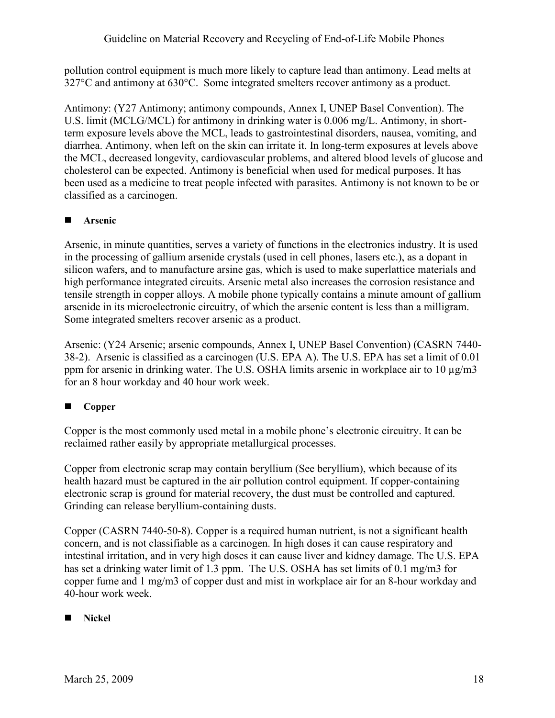pollution control equipment is much more likely to capture lead than antimony. Lead melts at 327°C and antimony at 630°C. Some integrated smelters recover antimony as a product.

Antimony: (Y27 Antimony; antimony compounds, Annex I, UNEP Basel Convention). The U.S. limit (MCLG/MCL) for antimony in drinking water is 0.006 mg/L. Antimony, in shortterm exposure levels above the MCL, leads to gastrointestinal disorders, nausea, vomiting, and diarrhea. Antimony, when left on the skin can irritate it. In long-term exposures at levels above the MCL, decreased longevity, cardiovascular problems, and altered blood levels of glucose and cholesterol can be expected. Antimony is beneficial when used for medical purposes. It has been used as a medicine to treat people infected with parasites. Antimony is not known to be or classified as a carcinogen.

#### **Arsenic**

Arsenic, in minute quantities, serves a variety of functions in the electronics industry. It is used in the processing of gallium arsenide crystals (used in cell phones, lasers etc.), as a dopant in silicon wafers, and to manufacture arsine gas, which is used to make superlattice materials and high performance integrated circuits. Arsenic metal also increases the corrosion resistance and tensile strength in copper alloys. A mobile phone typically contains a minute amount of gallium arsenide in its microelectronic circuitry, of which the arsenic content is less than a milligram. Some integrated smelters recover arsenic as a product.

Arsenic: (Y24 Arsenic; arsenic compounds, Annex I, UNEP Basel Convention) (CASRN 7440- 38-2). Arsenic is classified as a carcinogen (U.S. EPA A). The U.S. EPA has set a limit of 0.01 ppm for arsenic in drinking water. The U.S. OSHA limits arsenic in workplace air to 10  $\mu$ g/m3 for an 8 hour workday and 40 hour work week.

#### ■ Copper

Copper is the most commonly used metal in a mobile phone's electronic circuitry. It can be reclaimed rather easily by appropriate metallurgical processes.

Copper from electronic scrap may contain beryllium (See beryllium), which because of its health hazard must be captured in the air pollution control equipment. If copper-containing electronic scrap is ground for material recovery, the dust must be controlled and captured. Grinding can release beryllium-containing dusts.

Copper (CASRN 7440-50-8). Copper is a required human nutrient, is not a significant health concern, and is not classifiable as a carcinogen. In high doses it can cause respiratory and intestinal irritation, and in very high doses it can cause liver and kidney damage. The U.S. EPA has set a drinking water limit of 1.3 ppm. The U.S. OSHA has set limits of 0.1 mg/m3 for copper fume and 1 mg/m3 of copper dust and mist in workplace air for an 8-hour workday and 40-hour work week.

#### **Nickel**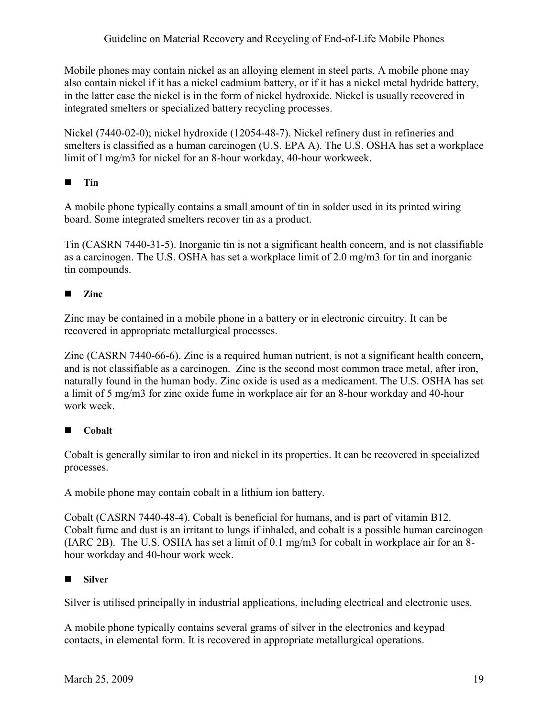Mobile phones may contain nickel as an alloying element in steel parts. A mobile phone may also contain nickel if it has a nickel cadmium battery, or if it has a nickel metal hydride battery, in the latter case the nickel is in the form of nickel hydroxide. Nickel is usually recovered in integrated smelters or specialized battery recycling processes.

Nickel (7440-02-0); nickel hydroxide (12054-48-7). Nickel refinery dust in refineries and smelters is classified as a human carcinogen (U.S. EPA A). The U.S. OSHA has set a workplace limit of l mg/m3 for nickel for an 8-hour workday, 40-hour workweek.

#### **Tin**

A mobile phone typically contains a small amount of tin in solder used in its printed wiring board. Some integrated smelters recover tin as a product.

Tin (CASRN 7440-31-5). Inorganic tin is not a significant health concern, and is not classifiable as a carcinogen. The U.S. OSHA has set a workplace limit of 2.0 mg/m3 for tin and inorganic tin compounds.

#### **zinc**

Zinc may be contained in a mobile phone in a battery or in electronic circuitry. It can be recovered in appropriate metallurgical processes.

Zinc (CASRN 7440-66-6). Zinc is a required human nutrient, is not a significant health concern, and is not classifiable as a carcinogen. Zinc is the second most common trace metal, after iron, naturally found in the human body. Zinc oxide is used as a medicament. The U.S. OSHA has set a limit of 5 mg/m3 for zinc oxide fume in workplace air for an 8-hour workday and 40-hour work week.

#### ■ Cobalt

Cobalt is generally similar to iron and nickel in its properties. It can be recovered in specialized processes.

A mobile phone may contain cobalt in a lithium ion battery.

Cobalt (CASRN 7440-48-4). Cobalt is beneficial for humans, and is part of vitamin B12. Cobalt fume and dust is an irritant to lungs if inhaled, and cobalt is a possible human carcinogen (IARC 2B). The U.S. OSHA has set a limit of 0.1 mg/m3 for cobalt in workplace air for an 8 hour workday and 40-hour work week.

#### ■ Silver

Silver is utilised principally in industrial applications, including electrical and electronic uses.

A mobile phone typically contains several grams of silver in the electronics and keypad contacts, in elemental form. It is recovered in appropriate metallurgical operations.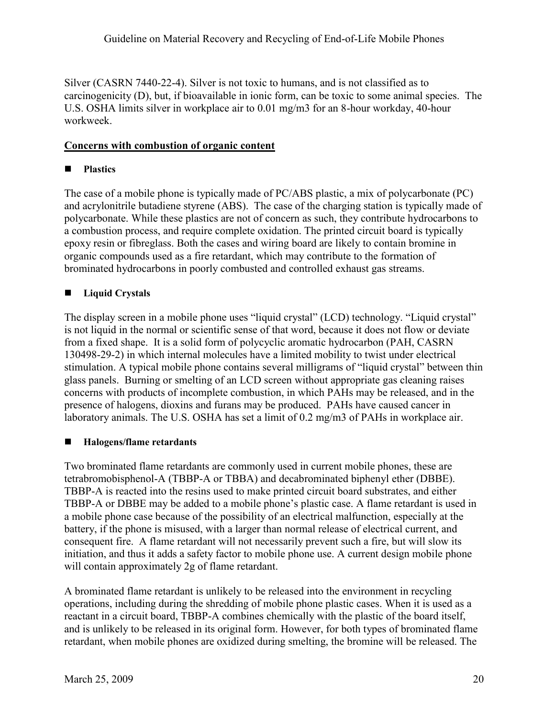Silver (CASRN 7440-22-4). Silver is not toxic to humans, and is not classified as to carcinogenicity (D), but, if bioavailable in ionic form, can be toxic to some animal species. The U.S. OSHA limits silver in workplace air to 0.01 mg/m3 for an 8-hour workday, 40-hour workweek.

#### **Concerns with combustion of organic content**

#### **Plastics**

The case of a mobile phone is typically made of PC/ABS plastic, a mix of polycarbonate (PC) and acrylonitrile butadiene styrene (ABS). The case of the charging station is typically made of polycarbonate. While these plastics are not of concern as such, they contribute hydrocarbons to a combustion process, and require complete oxidation. The printed circuit board is typically epoxy resin or fibreglass. Both the cases and wiring board are likely to contain bromine in organic compounds used as a fire retardant, which may contribute to the formation of brominated hydrocarbons in poorly combusted and controlled exhaust gas streams.

#### ■ Liquid Crystals

The display screen in a mobile phone uses "liquid crystal" (LCD) technology. "Liquid crystal" is not liquid in the normal or scientific sense of that word, because it does not flow or deviate from a fixed shape. It is a solid form of polycyclic aromatic hydrocarbon (PAH, CASRN 130498-29-2) in which internal molecules have a limited mobility to twist under electrical stimulation. A typical mobile phone contains several milligrams of "liquid crystal" between thin glass panels. Burning or smelting of an LCD screen without appropriate gas cleaning raises concerns with products of incomplete combustion, in which PAHs may be released, and in the presence of halogens, dioxins and furans may be produced. PAHs have caused cancer in laboratory animals. The U.S. OSHA has set a limit of 0.2 mg/m3 of PAHs in workplace air.

#### **Halogens/flame retardants**

Two brominated flame retardants are commonly used in current mobile phones, these are tetrabromobisphenol-A (TBBP-A or TBBA) and decabrominated biphenyl ether (DBBE). TBBP-A is reacted into the resins used to make printed circuit board substrates, and either TBBP-A or DBBE may be added to a mobile phone's plastic case. A flame retardant is used in a mobile phone case because of the possibility of an electrical malfunction, especially at the battery, if the phone is misused, with a larger than normal release of electrical current, and consequent fire. A flame retardant will not necessarily prevent such a fire, but will slow its initiation, and thus it adds a safety factor to mobile phone use. A current design mobile phone will contain approximately 2g of flame retardant.

A brominated flame retardant is unlikely to be released into the environment in recycling operations, including during the shredding of mobile phone plastic cases. When it is used as a reactant in a circuit board, TBBP-A combines chemically with the plastic of the board itself, and is unlikely to be released in its original form. However, for both types of brominated flame retardant, when mobile phones are oxidized during smelting, the bromine will be released. The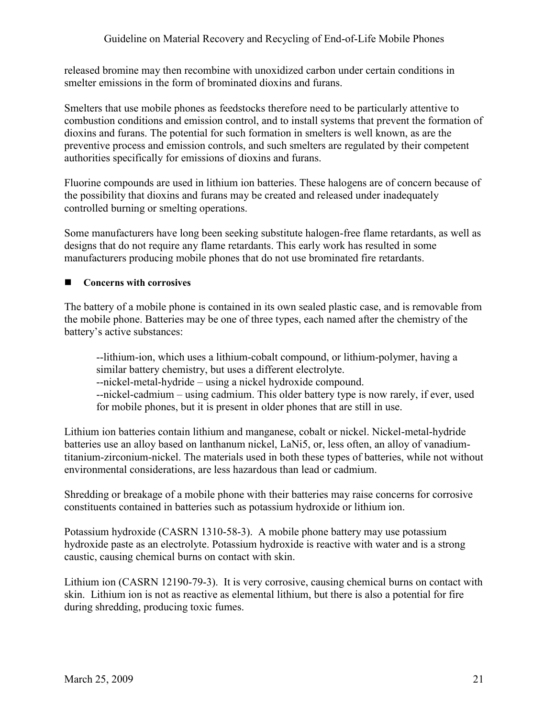released bromine may then recombine with unoxidized carbon under certain conditions in smelter emissions in the form of brominated dioxins and furans.

Smelters that use mobile phones as feedstocks therefore need to be particularly attentive to combustion conditions and emission control, and to install systems that prevent the formation of dioxins and furans. The potential for such formation in smelters is well known, as are the preventive process and emission controls, and such smelters are regulated by their competent authorities specifically for emissions of dioxins and furans.

Fluorine compounds are used in lithium ion batteries. These halogens are of concern because of the possibility that dioxins and furans may be created and released under inadequately controlled burning or smelting operations.

Some manufacturers have long been seeking substitute halogen-free flame retardants, as well as designs that do not require any flame retardants. This early work has resulted in some manufacturers producing mobile phones that do not use brominated fire retardants.

#### ■ Concerns with corrosives

The battery of a mobile phone is contained in its own sealed plastic case, and is removable from the mobile phone. Batteries may be one of three types, each named after the chemistry of the battery's active substances:

--lithium-ion, which uses a lithium-cobalt compound, or lithium-polymer, having a similar battery chemistry, but uses a different electrolyte.

--nickel-metal-hydride – using a nickel hydroxide compound.

--nickel-cadmium – using cadmium. This older battery type is now rarely, if ever, used for mobile phones, but it is present in older phones that are still in use.

Lithium ion batteries contain lithium and manganese, cobalt or nickel. Nickel-metal-hydride batteries use an alloy based on lanthanum nickel, LaNi5, or, less often, an alloy of vanadiumtitanium-zirconium-nickel. The materials used in both these types of batteries, while not without environmental considerations, are less hazardous than lead or cadmium.

Shredding or breakage of a mobile phone with their batteries may raise concerns for corrosive constituents contained in batteries such as potassium hydroxide or lithium ion.

Potassium hydroxide (CASRN 1310-58-3). A mobile phone battery may use potassium hydroxide paste as an electrolyte. Potassium hydroxide is reactive with water and is a strong caustic, causing chemical burns on contact with skin.

Lithium ion (CASRN 12190-79-3). It is very corrosive, causing chemical burns on contact with skin. Lithium ion is not as reactive as elemental lithium, but there is also a potential for fire during shredding, producing toxic fumes.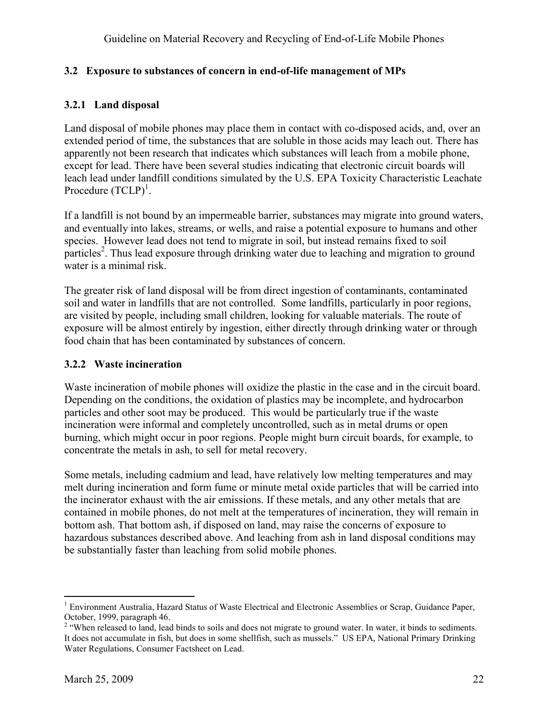#### <span id="page-21-0"></span>**3.2 Exposure to substances of concern in end-of-life management of MPs**

#### <span id="page-21-1"></span>**3.2.1 Land disposal**

Land disposal of mobile phones may place them in contact with co-disposed acids, and, over an extended period of time, the substances that are soluble in those acids may leach out. There has apparently not been research that indicates which substances will leach from a mobile phone, except for lead. There have been several studies indicating that electronic circuit boards will leach lead under landfill conditions simulated by the U.S. EPA Toxicity Characteristic Leachate Procedure  $(TCLP)^1$ .

If a landfill is not bound by an impermeable barrier, substances may migrate into ground waters, and eventually into lakes, streams, or wells, and raise a potential exposure to humans and other species. However lead does not tend to migrate in soil, but instead remains fixed to soil particles<sup>2</sup>. Thus lead exposure through drinking water due to leaching and migration to ground water is a minimal risk.

The greater risk of land disposal will be from direct ingestion of contaminants, contaminated soil and water in landfills that are not controlled. Some landfills, particularly in poor regions, are visited by people, including small children, looking for valuable materials. The route of exposure will be almost entirely by ingestion, either directly through drinking water or through food chain that has been contaminated by substances of concern.

#### <span id="page-21-2"></span>**3.2.2 Waste incineration**

Waste incineration of mobile phones will oxidize the plastic in the case and in the circuit board. Depending on the conditions, the oxidation of plastics may be incomplete, and hydrocarbon particles and other soot may be produced. This would be particularly true if the waste incineration were informal and completely uncontrolled, such as in metal drums or open burning, which might occur in poor regions. People might burn circuit boards, for example, to concentrate the metals in ash, to sell for metal recovery.

Some metals, including cadmium and lead, have relatively low melting temperatures and may melt during incineration and form fume or minute metal oxide particles that will be carried into the incinerator exhaust with the air emissions. If these metals, and any other metals that are contained in mobile phones, do not melt at the temperatures of incineration, they will remain in bottom ash. That bottom ash, if disposed on land, may raise the concerns of exposure to hazardous substances described above. And leaching from ash in land disposal conditions may be substantially faster than leaching from solid mobile phones.

<u>.</u>

<sup>&</sup>lt;sup>1</sup> Environment Australia, Hazard Status of Waste Electrical and Electronic Assemblies or Scrap, Guidance Paper, October, 1999, paragraph 46.

<sup>&</sup>lt;sup>2</sup> "When released to land, lead binds to soils and does not migrate to ground water. In water, it binds to sediments. It does not accumulate in fish, but does in some shellfish, such as mussels." US EPA, National Primary Drinking Water Regulations, Consumer Factsheet on Lead.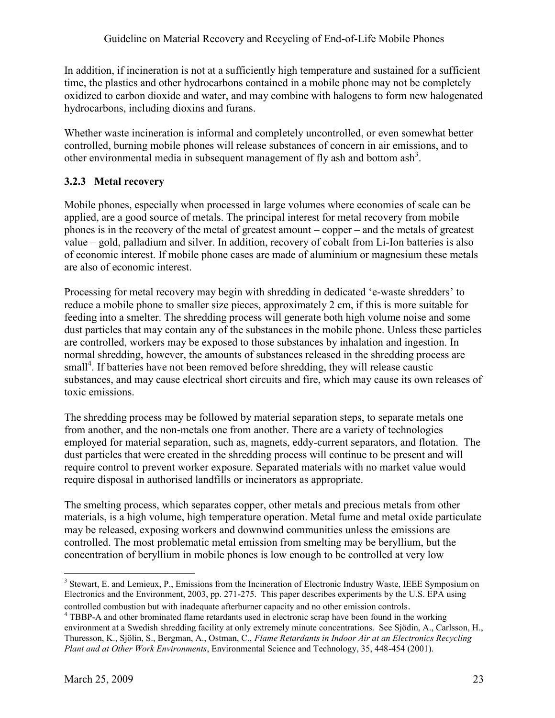In addition, if incineration is not at a sufficiently high temperature and sustained for a sufficient time, the plastics and other hydrocarbons contained in a mobile phone may not be completely oxidized to carbon dioxide and water, and may combine with halogens to form new halogenated hydrocarbons, including dioxins and furans.

Whether waste incineration is informal and completely uncontrolled, or even somewhat better controlled, burning mobile phones will release substances of concern in air emissions, and to other environmental media in subsequent management of fly ash and bottom ash<sup>3</sup>.

#### <span id="page-22-0"></span>**3.2.3 Metal recovery**

Mobile phones, especially when processed in large volumes where economies of scale can be applied, are a good source of metals. The principal interest for metal recovery from mobile phones is in the recovery of the metal of greatest amount – copper – and the metals of greatest value – gold, palladium and silver. In addition, recovery of cobalt from Li-Ion batteries is also of economic interest. If mobile phone cases are made of aluminium or magnesium these metals are also of economic interest.

Processing for metal recovery may begin with shredding in dedicated 'e-waste shredders' to reduce a mobile phone to smaller size pieces, approximately 2 cm, if this is more suitable for feeding into a smelter. The shredding process will generate both high volume noise and some dust particles that may contain any of the substances in the mobile phone. Unless these particles are controlled, workers may be exposed to those substances by inhalation and ingestion. In normal shredding, however, the amounts of substances released in the shredding process are small<sup>4</sup>. If batteries have not been removed before shredding, they will release caustic substances, and may cause electrical short circuits and fire, which may cause its own releases of toxic emissions.

The shredding process may be followed by material separation steps, to separate metals one from another, and the non-metals one from another. There are a variety of technologies employed for material separation, such as, magnets, eddy-current separators, and flotation. The dust particles that were created in the shredding process will continue to be present and will require control to prevent worker exposure. Separated materials with no market value would require disposal in authorised landfills or incinerators as appropriate.

The smelting process, which separates copper, other metals and precious metals from other materials, is a high volume, high temperature operation. Metal fume and metal oxide particulate may be released, exposing workers and downwind communities unless the emissions are controlled. The most problematic metal emission from smelting may be beryllium, but the concentration of beryllium in mobile phones is low enough to be controlled at very low

<sup>&</sup>lt;u>.</u> <sup>3</sup> Stewart, E. and Lemieux, P., Emissions from the Incineration of Electronic Industry Waste, IEEE Symposium on Electronics and the Environment, 2003, pp. 271-275. This paper describes experiments by the U.S. EPA using controlled combustion but with inadequate afterburner capacity and no other emission controls.

<sup>&</sup>lt;sup>4</sup> TBBP-A and other brominated flame retardants used in electronic scrap have been found in the working environment at a Swedish shredding facility at only extremely minute concentrations. See Sjödin, A., Carlsson, H., Thuresson, K., Sjölin, S., Bergman, A., Ostman, C., *Flame Retardants in Indoor Air at an Electronics Recycling Plant and at Other Work Environments*, Environmental Science and Technology, 35, 448-454 (2001).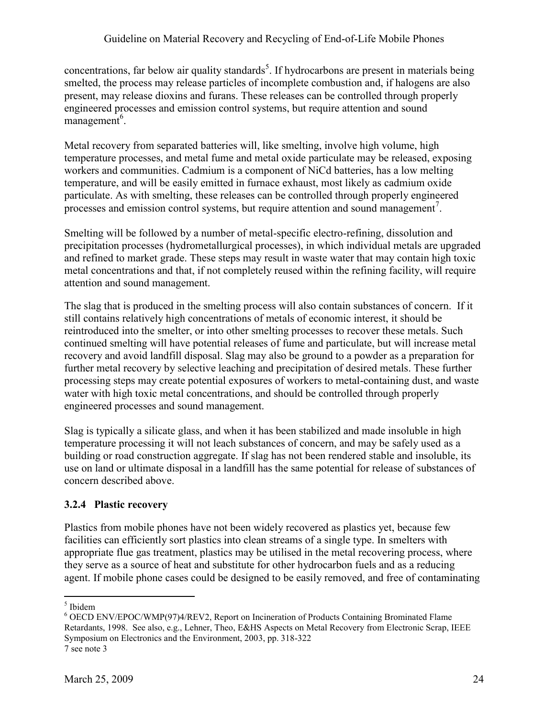concentrations, far below air quality standards<sup>5</sup>. If hydrocarbons are present in materials being smelted, the process may release particles of incomplete combustion and, if halogens are also present, may release dioxins and furans. These releases can be controlled through properly engineered processes and emission control systems, but require attention and sound management<sup>6</sup>.

Metal recovery from separated batteries will, like smelting, involve high volume, high temperature processes, and metal fume and metal oxide particulate may be released, exposing workers and communities. Cadmium is a component of NiCd batteries, has a low melting temperature, and will be easily emitted in furnace exhaust, most likely as cadmium oxide particulate. As with smelting, these releases can be controlled through properly engineered processes and emission control systems, but require attention and sound management<sup>7</sup>.

Smelting will be followed by a number of metal-specific electro-refining, dissolution and precipitation processes (hydrometallurgical processes), in which individual metals are upgraded and refined to market grade. These steps may result in waste water that may contain high toxic metal concentrations and that, if not completely reused within the refining facility, will require attention and sound management.

The slag that is produced in the smelting process will also contain substances of concern. If it still contains relatively high concentrations of metals of economic interest, it should be reintroduced into the smelter, or into other smelting processes to recover these metals. Such continued smelting will have potential releases of fume and particulate, but will increase metal recovery and avoid landfill disposal. Slag may also be ground to a powder as a preparation for further metal recovery by selective leaching and precipitation of desired metals. These further processing steps may create potential exposures of workers to metal-containing dust, and waste water with high toxic metal concentrations, and should be controlled through properly engineered processes and sound management.

Slag is typically a silicate glass, and when it has been stabilized and made insoluble in high temperature processing it will not leach substances of concern, and may be safely used as a building or road construction aggregate. If slag has not been rendered stable and insoluble, its use on land or ultimate disposal in a landfill has the same potential for release of substances of concern described above.

#### <span id="page-23-0"></span>**3.2.4 Plastic recovery**

Plastics from mobile phones have not been widely recovered as plastics yet, because few facilities can efficiently sort plastics into clean streams of a single type. In smelters with appropriate flue gas treatment, plastics may be utilised in the metal recovering process, where they serve as a source of heat and substitute for other hydrocarbon fuels and as a reducing agent. If mobile phone cases could be designed to be easily removed, and free of contaminating

 $\frac{1}{5}$  Ibidem

<sup>6</sup> OECD ENV/EPOC/WMP(97)4/REV2, Report on Incineration of Products Containing Brominated Flame Retardants, 1998. See also, e.g., Lehner, Theo, E&HS Aspects on Metal Recovery from Electronic Scrap, IEEE Symposium on Electronics and the Environment, 2003, pp. 318-322 7 see note 3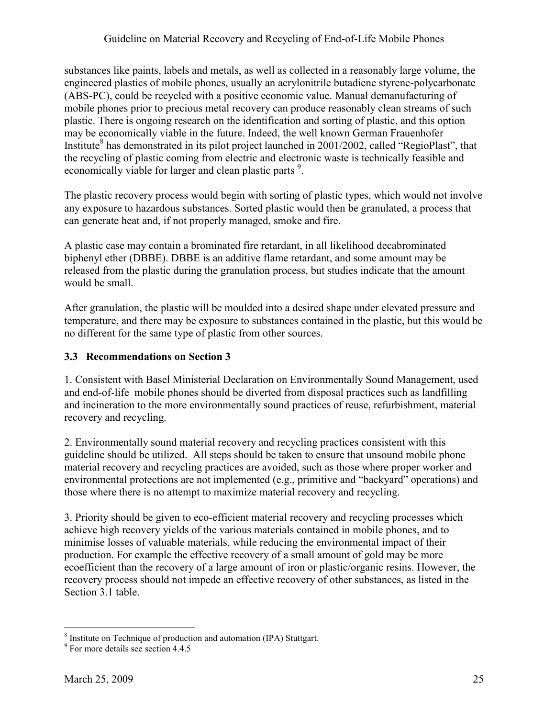substances like paints, labels and metals, as well as collected in a reasonably large volume, the engineered plastics of mobile phones, usually an acrylonitrile butadiene styrene-polycarbonate (ABS-PC), could be recycled with a positive economic value. Manual demanufacturing of mobile phones prior to precious metal recovery can produce reasonably clean streams of such plastic. There is ongoing research on the identification and sorting of plastic, and this option may be economically viable in the future. Indeed, the well known German Frauenhofer Institute<sup>8</sup> has demonstrated in its pilot project launched in 2001/2002, called "RegioPlast", that the recycling of plastic coming from electric and electronic waste is technically feasible and economically viable for larger and clean plastic parts<sup>9</sup>.

The plastic recovery process would begin with sorting of plastic types, which would not involve any exposure to hazardous substances. Sorted plastic would then be granulated, a process that can generate heat and, if not properly managed, smoke and fire.

A plastic case may contain a brominated fire retardant, in all likelihood decabrominated biphenyl ether (DBBE). DBBE is an additive flame retardant, and some amount may be released from the plastic during the granulation process, but studies indicate that the amount would be small.

After granulation, the plastic will be moulded into a desired shape under elevated pressure and temperature, and there may be exposure to substances contained in the plastic, but this would be no different for the same type of plastic from other sources.

#### <span id="page-24-0"></span>**3.3 Recommendations on Section 3**

1. Consistent with Basel Ministerial Declaration on Environmentally Sound Management, used and end-of-life mobile phones should be diverted from disposal practices such as landfilling and incineration to the more environmentally sound practices of reuse, refurbishment, material recovery and recycling.

2. Environmentally sound material recovery and recycling practices consistent with this guideline should be utilized. All steps should be taken to ensure that unsound mobile phone material recovery and recycling practices are avoided, such as those where proper worker and environmental protections are not implemented (e.g., primitive and "backyard" operations) and those where there is no attempt to maximize material recovery and recycling.

3. Priority should be given to eco-efficient material recovery and recycling processes which achieve high recovery yields of the various materials contained in mobile phones, and to minimise losses of valuable materials, while reducing the environmental impact of their production. For example the effective recovery of a small amount of gold may be more ecoefficient than the recovery of a large amount of iron or plastic/organic resins. However, the recovery process should not impede an effective recovery of other substances, as listed in the Section 3.1 table.

<sup>&</sup>lt;sup>8</sup> Institute on Technique of production and automation (IPA) Stuttgart.

<sup>&</sup>lt;sup>9</sup> For more details see section 4.4.5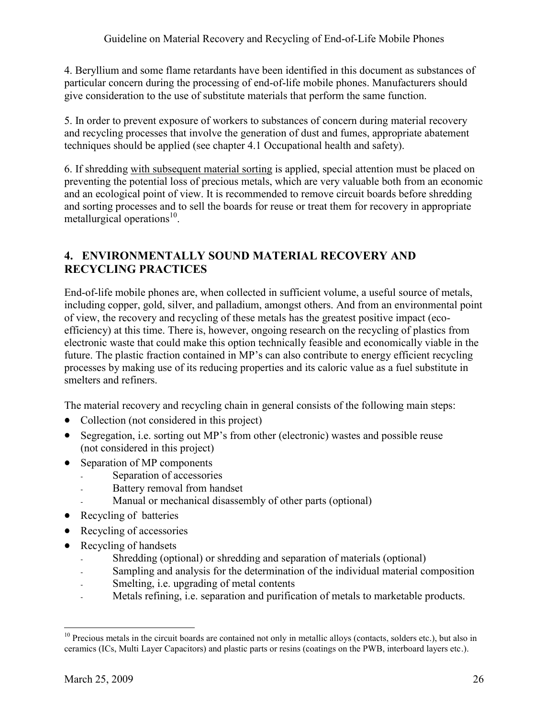4. Beryllium and some flame retardants have been identified in this document as substances of particular concern during the processing of end-of-life mobile phones. Manufacturers should give consideration to the use of substitute materials that perform the same function.

5. In order to prevent exposure of workers to substances of concern during material recovery and recycling processes that involve the generation of dust and fumes, appropriate abatement techniques should be applied (see chapter 4.1 Occupational health and safety).

6. If shredding with subsequent material sorting is applied, special attention must be placed on preventing the potential loss of precious metals, which are very valuable both from an economic and an ecological point of view. It is recommended to remove circuit boards before shredding and sorting processes and to sell the boards for reuse or treat them for recovery in appropriate metallurgical operations<sup>10</sup>.

#### <span id="page-25-0"></span>**4. ENVIRONMENTALLY SOUND MATERIAL RECOVERY AND RECYCLING PRACTICES**

End-of-life mobile phones are, when collected in sufficient volume, a useful source of metals, including copper, gold, silver, and palladium, amongst others. And from an environmental point of view, the recovery and recycling of these metals has the greatest positive impact (ecoefficiency) at this time. There is, however, ongoing research on the recycling of plastics from electronic waste that could make this option technically feasible and economically viable in the future. The plastic fraction contained in MP's can also contribute to energy efficient recycling processes by making use of its reducing properties and its caloric value as a fuel substitute in smelters and refiners.

The material recovery and recycling chain in general consists of the following main steps:

- Collection (not considered in this project)
- Segregation, i.e. sorting out MP's from other (electronic) wastes and possible reuse (not considered in this project)
- $\bullet$ Separation of MP components
	- Separation of accessories
	- Battery removal from handset
	- Manual or mechanical disassembly of other parts (optional)
- Recycling of batteries
- Recycling of accessories
- Recycling of handsets
	- Shredding (optional) or shredding and separation of materials (optional)
	- Sampling and analysis for the determination of the individual material composition
	- Smelting, i.e. upgrading of metal contents
	- Metals refining, i.e. separation and purification of metals to marketable products.

<u>.</u>

 $10$  Precious metals in the circuit boards are contained not only in metallic alloys (contacts, solders etc.), but also in ceramics (ICs, Multi Layer Capacitors) and plastic parts or resins (coatings on the PWB, interboard layers etc.).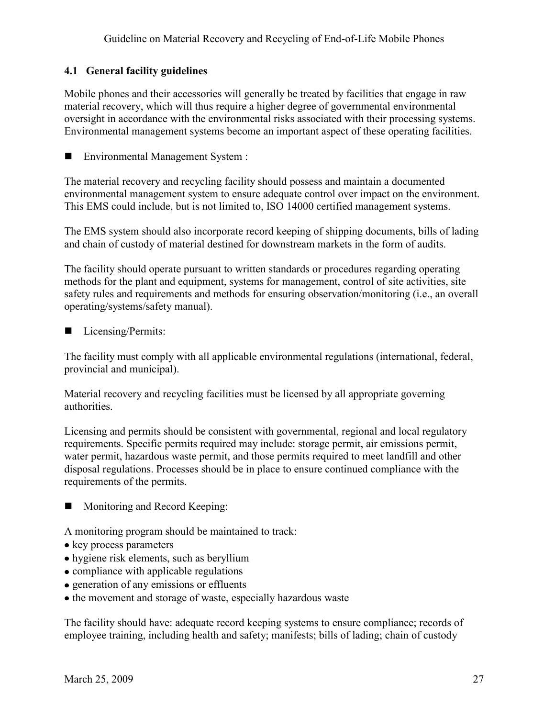#### <span id="page-26-0"></span>**4.1 General facility guidelines**

Mobile phones and their accessories will generally be treated by facilities that engage in raw material recovery, which will thus require a higher degree of governmental environmental oversight in accordance with the environmental risks associated with their processing systems. Environmental management systems become an important aspect of these operating facilities.

■ Environmental Management System :

The material recovery and recycling facility should possess and maintain a documented environmental management system to ensure adequate control over impact on the environment. This EMS could include, but is not limited to, ISO 14000 certified management systems.

The EMS system should also incorporate record keeping of shipping documents, bills of lading and chain of custody of material destined for downstream markets in the form of audits.

The facility should operate pursuant to written standards or procedures regarding operating methods for the plant and equipment, systems for management, control of site activities, site safety rules and requirements and methods for ensuring observation/monitoring (i.e., an overall operating/systems/safety manual).

■ Licensing/Permits:

The facility must comply with all applicable environmental regulations (international, federal, provincial and municipal).

Material recovery and recycling facilities must be licensed by all appropriate governing authorities.

Licensing and permits should be consistent with governmental, regional and local regulatory requirements. Specific permits required may include: storage permit, air emissions permit, water permit, hazardous waste permit, and those permits required to meet landfill and other disposal regulations. Processes should be in place to ensure continued compliance with the requirements of the permits.

**Monitoring and Record Keeping:** 

A monitoring program should be maintained to track:

- key process parameters
- hygiene risk elements, such as beryllium
- compliance with applicable regulations
- generation of any emissions or effluents
- the movement and storage of waste, especially hazardous waste

The facility should have: adequate record keeping systems to ensure compliance; records of employee training, including health and safety; manifests; bills of lading; chain of custody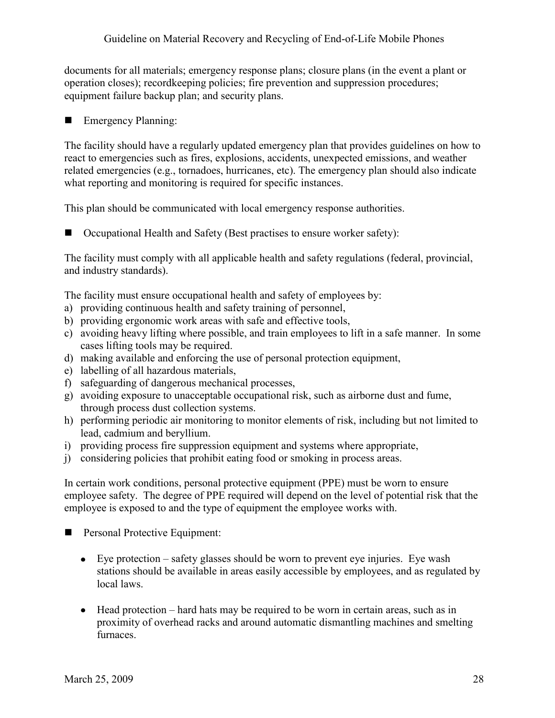documents for all materials; emergency response plans; closure plans (in the event a plant or operation closes); recordkeeping policies; fire prevention and suppression procedures; equipment failure backup plan; and security plans.

**Emergency Planning:** 

The facility should have a regularly updated emergency plan that provides guidelines on how to react to emergencies such as fires, explosions, accidents, unexpected emissions, and weather related emergencies (e.g., tornadoes, hurricanes, etc). The emergency plan should also indicate what reporting and monitoring is required for specific instances.

This plan should be communicated with local emergency response authorities.

■ Occupational Health and Safety (Best practises to ensure worker safety):

The facility must comply with all applicable health and safety regulations (federal, provincial, and industry standards).

The facility must ensure occupational health and safety of employees by:

- a) providing continuous health and safety training of personnel,
- b) providing ergonomic work areas with safe and effective tools,
- c) avoiding heavy lifting where possible, and train employees to lift in a safe manner. In some cases lifting tools may be required.
- d) making available and enforcing the use of personal protection equipment,
- e) labelling of all hazardous materials,
- f) safeguarding of dangerous mechanical processes,
- g) avoiding exposure to unacceptable occupational risk, such as airborne dust and fume, through process dust collection systems.
- h) performing periodic air monitoring to monitor elements of risk, including but not limited to lead, cadmium and beryllium.
- i) providing process fire suppression equipment and systems where appropriate,
- j) considering policies that prohibit eating food or smoking in process areas.

In certain work conditions, personal protective equipment (PPE) must be worn to ensure employee safety. The degree of PPE required will depend on the level of potential risk that the employee is exposed to and the type of equipment the employee works with.

- **Personal Protective Equipment:** 
	- Eye protection safety glasses should be worn to prevent eye injuries. Eye wash stations should be available in areas easily accessible by employees, and as regulated by local laws.
	- Head protection hard hats may be required to be worn in certain areas, such as in proximity of overhead racks and around automatic dismantling machines and smelting furnaces.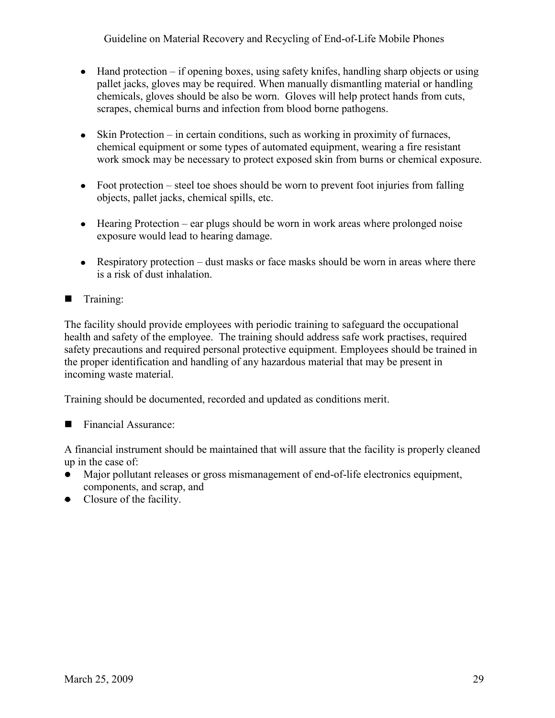- Hand protection if opening boxes, using safety knifes, handling sharp objects or using pallet jacks, gloves may be required. When manually dismantling material or handling chemicals, gloves should be also be worn. Gloves will help protect hands from cuts, scrapes, chemical burns and infection from blood borne pathogens.
- $\bullet$  Skin Protection in certain conditions, such as working in proximity of furnaces, chemical equipment or some types of automated equipment, wearing a fire resistant work smock may be necessary to protect exposed skin from burns or chemical exposure.
- Foot protection steel toe shoes should be worn to prevent foot injuries from falling objects, pallet jacks, chemical spills, etc.
- Hearing Protection ear plugs should be worn in work areas where prolonged noise exposure would lead to hearing damage.
- Respiratory protection dust masks or face masks should be worn in areas where there is a risk of dust inhalation.
- Training:

The facility should provide employees with periodic training to safeguard the occupational health and safety of the employee. The training should address safe work practises, required safety precautions and required personal protective equipment. Employees should be trained in the proper identification and handling of any hazardous material that may be present in incoming waste material.

Training should be documented, recorded and updated as conditions merit.

Financial Assurance:

A financial instrument should be maintained that will assure that the facility is properly cleaned up in the case of:

- Major pollutant releases or gross mismanagement of end-of-life electronics equipment, components, and scrap, and
- Closure of the facility.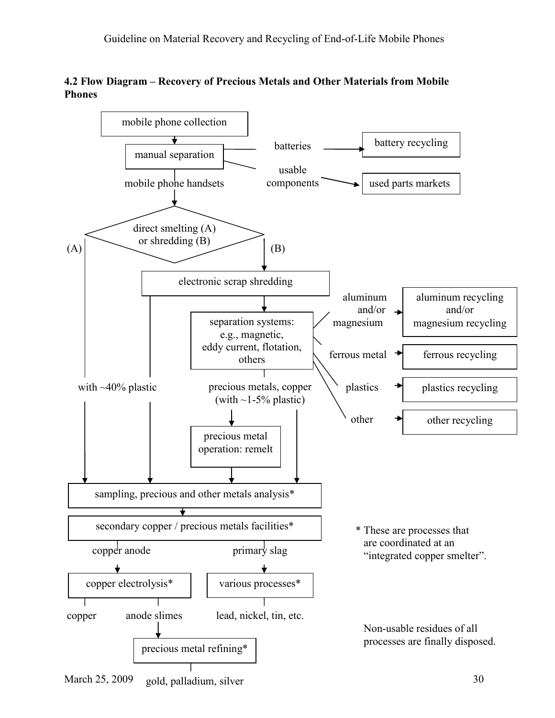<span id="page-29-0"></span>**4.2 Flow Diagram – Recovery of Precious Metals and Other Materials from Mobile Phones**



March 25, 2009 gold, palladium, silver 30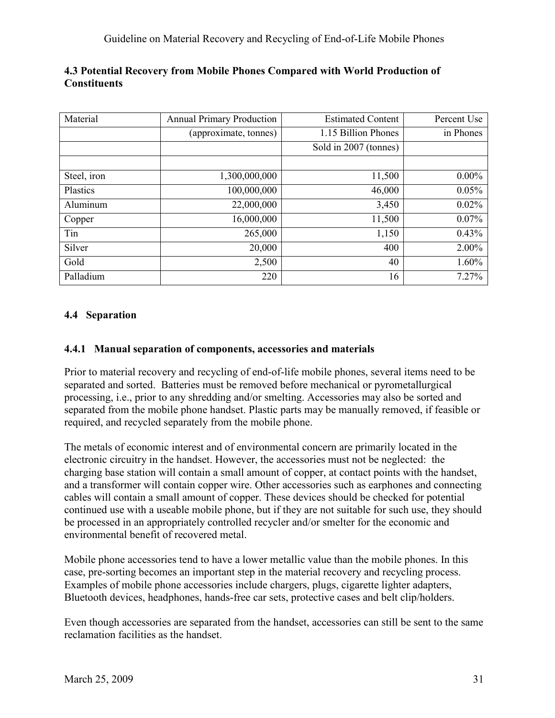<span id="page-30-1"></span>

| Material    | <b>Annual Primary Production</b> | <b>Estimated Content</b> | Percent Use |  |
|-------------|----------------------------------|--------------------------|-------------|--|
|             | (approximate, tonnes)            | 1.15 Billion Phones      | in Phones   |  |
|             |                                  | Sold in 2007 (tonnes)    |             |  |
|             |                                  |                          |             |  |
| Steel, iron | 1,300,000,000                    | 11,500                   | $0.00\%$    |  |
| Plastics    | 100,000,000                      | 46,000                   | 0.05%       |  |
| Aluminum    | 22,000,000                       | 3,450                    | 0.02%       |  |
| Copper      | 16,000,000                       | 11,500                   | $0.07\%$    |  |
| Tin         | 265,000                          | 1,150                    | 0.43%       |  |
| Silver      | 20,000                           | 400                      | 2.00%       |  |
| Gold        | 2,500                            | 40                       | 1.60%       |  |
| Palladium   | 220                              | 16                       | 7.27%       |  |

#### <span id="page-30-0"></span>**4.3 Potential Recovery from Mobile Phones Compared with World Production of Constituents**

#### **4.4 Separation**

#### <span id="page-30-2"></span>**4.4.1 Manual separation of components, accessories and materials**

Prior to material recovery and recycling of end-of-life mobile phones, several items need to be separated and sorted. Batteries must be removed before mechanical or pyrometallurgical processing, i.e., prior to any shredding and/or smelting. Accessories may also be sorted and separated from the mobile phone handset. Plastic parts may be manually removed, if feasible or required, and recycled separately from the mobile phone.

The metals of economic interest and of environmental concern are primarily located in the electronic circuitry in the handset. However, the accessories must not be neglected: the charging base station will contain a small amount of copper, at contact points with the handset, and a transformer will contain copper wire. Other accessories such as earphones and connecting cables will contain a small amount of copper. These devices should be checked for potential continued use with a useable mobile phone, but if they are not suitable for such use, they should be processed in an appropriately controlled recycler and/or smelter for the economic and environmental benefit of recovered metal.

Mobile phone accessories tend to have a lower metallic value than the mobile phones. In this case, pre-sorting becomes an important step in the material recovery and recycling process. Examples of mobile phone accessories include chargers, plugs, cigarette lighter adapters, Bluetooth devices, headphones, hands-free car sets, protective cases and belt clip/holders.

Even though accessories are separated from the handset, accessories can still be sent to the same reclamation facilities as the handset.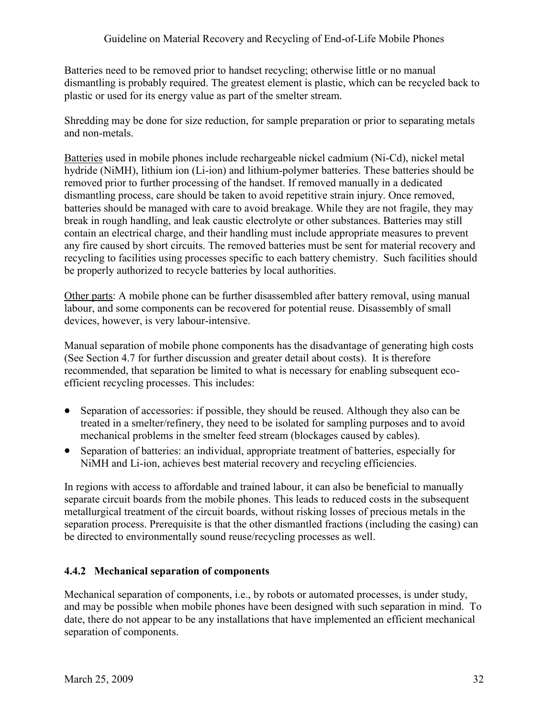Batteries need to be removed prior to handset recycling; otherwise little or no manual dismantling is probably required. The greatest element is plastic, which can be recycled back to plastic or used for its energy value as part of the smelter stream.

Shredding may be done for size reduction, for sample preparation or prior to separating metals and non-metals.

Batteries used in mobile phones include rechargeable nickel cadmium (Ni-Cd), nickel metal hydride (NiMH), lithium ion (Li-ion) and lithium-polymer batteries. These batteries should be removed prior to further processing of the handset. If removed manually in a dedicated dismantling process, care should be taken to avoid repetitive strain injury. Once removed, batteries should be managed with care to avoid breakage. While they are not fragile, they may break in rough handling, and leak caustic electrolyte or other substances. Batteries may still contain an electrical charge, and their handling must include appropriate measures to prevent any fire caused by short circuits. The removed batteries must be sent for material recovery and recycling to facilities using processes specific to each battery chemistry. Such facilities should be properly authorized to recycle batteries by local authorities.

Other parts: A mobile phone can be further disassembled after battery removal, using manual labour, and some components can be recovered for potential reuse. Disassembly of small devices, however, is very labour-intensive.

Manual separation of mobile phone components has the disadvantage of generating high costs (See Section 4.7 for further discussion and greater detail about costs). It is therefore recommended, that separation be limited to what is necessary for enabling subsequent ecoefficient recycling processes. This includes:

- $\bullet$ Separation of accessories: if possible, they should be reused. Although they also can be treated in a smelter/refinery, they need to be isolated for sampling purposes and to avoid mechanical problems in the smelter feed stream (blockages caused by cables).
- Separation of batteries: an individual, appropriate treatment of batteries, especially for NiMH and Li-ion, achieves best material recovery and recycling efficiencies.

<span id="page-31-0"></span>In regions with access to affordable and trained labour, it can also be beneficial to manually separate circuit boards from the mobile phones. This leads to reduced costs in the subsequent metallurgical treatment of the circuit boards, without risking losses of precious metals in the separation process. Prerequisite is that the other dismantled fractions (including the casing) can be directed to environmentally sound reuse/recycling processes as well.

#### **4.4.2 Mechanical separation of components**

Mechanical separation of components, i.e., by robots or automated processes, is under study, and may be possible when mobile phones have been designed with such separation in mind. To date, there do not appear to be any installations that have implemented an efficient mechanical separation of components.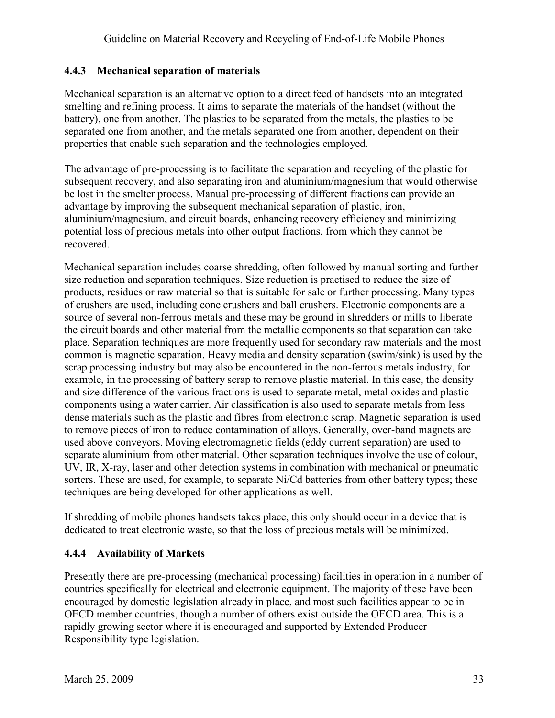#### <span id="page-32-0"></span>**4.4.3 Mechanical separation of materials**

Mechanical separation is an alternative option to a direct feed of handsets into an integrated smelting and refining process. It aims to separate the materials of the handset (without the battery), one from another. The plastics to be separated from the metals, the plastics to be separated one from another, and the metals separated one from another, dependent on their properties that enable such separation and the technologies employed.

The advantage of pre-processing is to facilitate the separation and recycling of the plastic for subsequent recovery, and also separating iron and aluminium/magnesium that would otherwise be lost in the smelter process. Manual pre-processing of different fractions can provide an advantage by improving the subsequent mechanical separation of plastic, iron, aluminium/magnesium, and circuit boards, enhancing recovery efficiency and minimizing potential loss of precious metals into other output fractions, from which they cannot be recovered.

Mechanical separation includes coarse shredding, often followed by manual sorting and further size reduction and separation techniques. Size reduction is practised to reduce the size of products, residues or raw material so that is suitable for sale or further processing. Many types of crushers are used, including cone crushers and ball crushers. Electronic components are a source of several non-ferrous metals and these may be ground in shredders or mills to liberate the circuit boards and other material from the metallic components so that separation can take place. Separation techniques are more frequently used for secondary raw materials and the most common is magnetic separation. Heavy media and density separation (swim/sink) is used by the scrap processing industry but may also be encountered in the non-ferrous metals industry, for example, in the processing of battery scrap to remove plastic material. In this case, the density and size difference of the various fractions is used to separate metal, metal oxides and plastic components using a water carrier. Air classification is also used to separate metals from less dense materials such as the plastic and fibres from electronic scrap. Magnetic separation is used to remove pieces of iron to reduce contamination of alloys. Generally, over-band magnets are used above conveyors. Moving electromagnetic fields (eddy current separation) are used to separate aluminium from other material. Other separation techniques involve the use of colour, UV, IR, X-ray, laser and other detection systems in combination with mechanical or pneumatic sorters. These are used, for example, to separate Ni/Cd batteries from other battery types; these techniques are being developed for other applications as well.

If shredding of mobile phones handsets takes place, this only should occur in a device that is dedicated to treat electronic waste, so that the loss of precious metals will be minimized.

#### <span id="page-32-1"></span>**4.4.4 Availability of Markets**

Presently there are pre-processing (mechanical processing) facilities in operation in a number of countries specifically for electrical and electronic equipment. The majority of these have been encouraged by domestic legislation already in place, and most such facilities appear to be in OECD member countries, though a number of others exist outside the OECD area. This is a rapidly growing sector where it is encouraged and supported by Extended Producer Responsibility type legislation.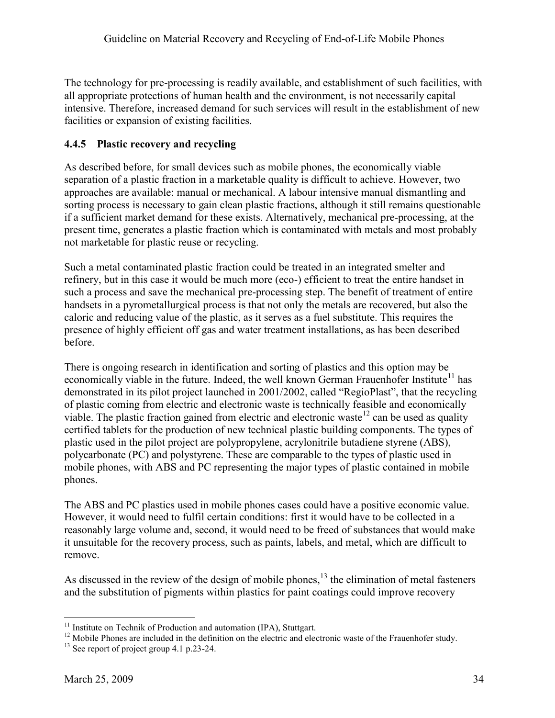The technology for pre-processing is readily available, and establishment of such facilities, with all appropriate protections of human health and the environment, is not necessarily capital intensive. Therefore, increased demand for such services will result in the establishment of new facilities or expansion of existing facilities.

#### <span id="page-33-0"></span>**4.4.5 Plastic recovery and recycling**

As described before, for small devices such as mobile phones, the economically viable separation of a plastic fraction in a marketable quality is difficult to achieve. However, two approaches are available: manual or mechanical. A labour intensive manual dismantling and sorting process is necessary to gain clean plastic fractions, although it still remains questionable if a sufficient market demand for these exists. Alternatively, mechanical pre-processing, at the present time, generates a plastic fraction which is contaminated with metals and most probably not marketable for plastic reuse or recycling.

Such a metal contaminated plastic fraction could be treated in an integrated smelter and refinery, but in this case it would be much more (eco-) efficient to treat the entire handset in such a process and save the mechanical pre-processing step. The benefit of treatment of entire handsets in a pyrometallurgical process is that not only the metals are recovered, but also the caloric and reducing value of the plastic, as it serves as a fuel substitute. This requires the presence of highly efficient off gas and water treatment installations, as has been described before.

There is ongoing research in identification and sorting of plastics and this option may be economically viable in the future. Indeed, the well known German Frauenhofer Institute<sup>11</sup> has demonstrated in its pilot project launched in  $2001/2002$ , called "RegioPlast", that the recycling of plastic coming from electric and electronic waste is technically feasible and economically viable. The plastic fraction gained from electric and electronic waste<sup>12</sup> can be used as quality certified tablets for the production of new technical plastic building components. The types of plastic used in the pilot project are polypropylene, acrylonitrile butadiene styrene (ABS), polycarbonate (PC) and polystyrene. These are comparable to the types of plastic used in mobile phones, with ABS and PC representing the major types of plastic contained in mobile phones.

The ABS and PC plastics used in mobile phones cases could have a positive economic value. However, it would need to fulfil certain conditions: first it would have to be collected in a reasonably large volume and, second, it would need to be freed of substances that would make it unsuitable for the recovery process, such as paints, labels, and metal, which are difficult to remove.

As discussed in the review of the design of mobile phones, $13$  the elimination of metal fasteners and the substitution of pigments within plastics for paint coatings could improve recovery

1

<sup>&</sup>lt;sup>11</sup> Institute on Technik of Production and automation (IPA), Stuttgart.

<sup>&</sup>lt;sup>12</sup> Mobile Phones are included in the definition on the electric and electronic waste of the Frauenhofer study.

<sup>&</sup>lt;sup>13</sup> See report of project group 4.1 p.23-24.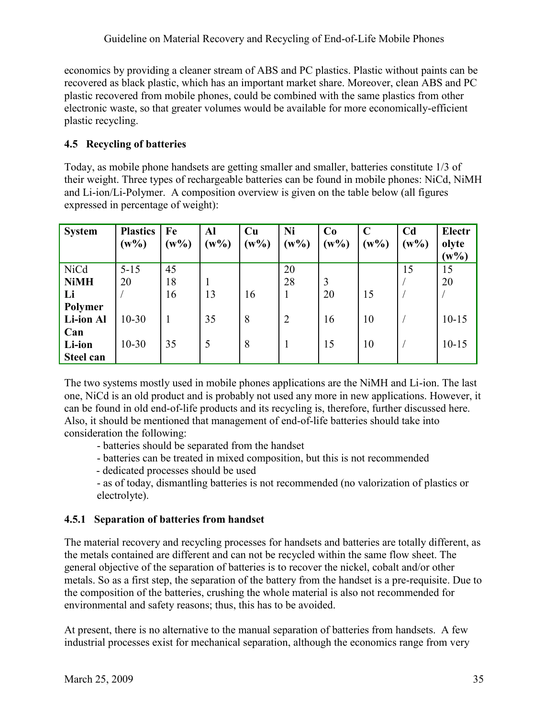economics by providing a cleaner stream of ABS and PC plastics. Plastic without paints can be recovered as black plastic, which has an important market share. Moreover, clean ABS and PC plastic recovered from mobile phones, could be combined with the same plastics from other electronic waste, so that greater volumes would be available for more economically-efficient plastic recycling.

#### <span id="page-34-0"></span>**4.5 Recycling of batteries**

Today, as mobile phone handsets are getting smaller and smaller, batteries constitute 1/3 of their weight. Three types of rechargeable batteries can be found in mobile phones: NiCd, NiMH and Li-ion/Li-Polymer. A composition overview is given on the table below (all figures expressed in percentage of weight):

| <b>System</b>    | <b>Plastics</b><br>$(w\%)$ | Fe<br>$(w\%)$ | Al<br>$(w\%)$ | Cu<br>$(w\%)$ | Ni<br>$(w\%)$  | Co<br>$(w\%)$ | $\mathbf C$<br>$(w\%)$ | C <sub>d</sub><br>$(w\%)$ | Electr<br>olyte<br>$(w\%)$ |
|------------------|----------------------------|---------------|---------------|---------------|----------------|---------------|------------------------|---------------------------|----------------------------|
| NiCd             | $5 - 15$                   | 45            |               |               | 20             |               |                        | 15                        | 15                         |
| <b>NiMH</b>      | 20                         | 18            |               |               | 28             | 3             |                        |                           | 20                         |
| Li               |                            | 16            | 13            | 16            | 1              | 20            | 15                     |                           |                            |
| Polymer          |                            |               |               |               |                |               |                        |                           |                            |
| <b>Li-ion Al</b> | $10 - 30$                  |               | 35            | 8             | $\overline{2}$ | 16            | 10                     |                           | $10 - 15$                  |
| Can              |                            |               |               |               |                |               |                        |                           |                            |
| Li-ion           | $10 - 30$                  | 35            | 5             | 8             |                | 15            | 10                     |                           | $10 - 15$                  |
| Steel can        |                            |               |               |               |                |               |                        |                           |                            |

The two systems mostly used in mobile phones applications are the NiMH and Li-ion. The last one, NiCd is an old product and is probably not used any more in new applications. However, it can be found in old end-of-life products and its recycling is, therefore, further discussed here. Also, it should be mentioned that management of end-of-life batteries should take into consideration the following:

- batteries should be separated from the handset
- batteries can be treated in mixed composition, but this is not recommended
- dedicated processes should be used
- as of today, dismantling batteries is not recommended (no valorization of plastics or electrolyte).

#### <span id="page-34-1"></span>**4.5.1 Separation of batteries from handset**

The material recovery and recycling processes for handsets and batteries are totally different, as the metals contained are different and can not be recycled within the same flow sheet. The general objective of the separation of batteries is to recover the nickel, cobalt and/or other metals. So as a first step, the separation of the battery from the handset is a pre-requisite. Due to the composition of the batteries, crushing the whole material is also not recommended for environmental and safety reasons; thus, this has to be avoided.

At present, there is no alternative to the manual separation of batteries from handsets. A few industrial processes exist for mechanical separation, although the economics range from very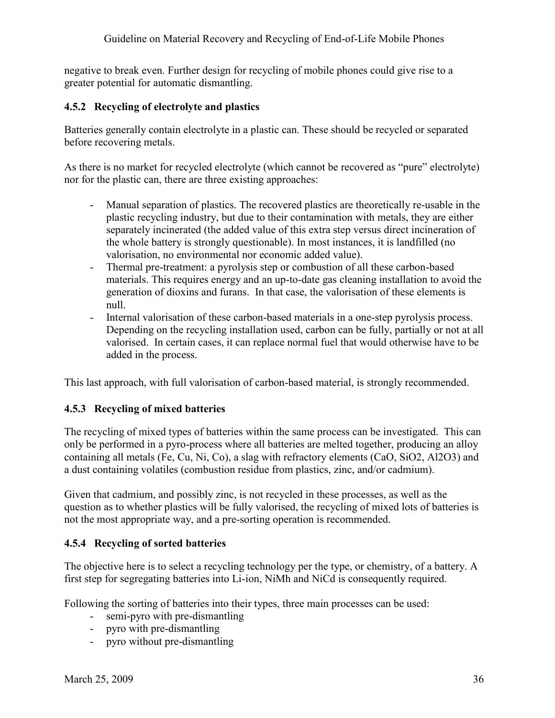negative to break even. Further design for recycling of mobile phones could give rise to a greater potential for automatic dismantling.

#### <span id="page-35-0"></span>**4.5.2 Recycling of electrolyte and plastics**

Batteries generally contain electrolyte in a plastic can. These should be recycled or separated before recovering metals.

As there is no market for recycled electrolyte (which cannot be recovered as "pure" electrolyte) nor for the plastic can, there are three existing approaches:

- Manual separation of plastics. The recovered plastics are theoretically re-usable in the plastic recycling industry, but due to their contamination with metals, they are either separately incinerated (the added value of this extra step versus direct incineration of the whole battery is strongly questionable). In most instances, it is landfilled (no valorisation, no environmental nor economic added value).
- Thermal pre-treatment: a pyrolysis step or combustion of all these carbon-based materials. This requires energy and an up-to-date gas cleaning installation to avoid the generation of dioxins and furans. In that case, the valorisation of these elements is null.
- Internal valorisation of these carbon-based materials in a one-step pyrolysis process. Depending on the recycling installation used, carbon can be fully, partially or not at all valorised. In certain cases, it can replace normal fuel that would otherwise have to be added in the process.

This last approach, with full valorisation of carbon-based material, is strongly recommended.

#### <span id="page-35-1"></span>**4.5.3 Recycling of mixed batteries**

The recycling of mixed types of batteries within the same process can be investigated. This can only be performed in a pyro-process where all batteries are melted together, producing an alloy containing all metals (Fe, Cu, Ni, Co), a slag with refractory elements (CaO, SiO2, Al2O3) and a dust containing volatiles (combustion residue from plastics, zinc, and/or cadmium).

Given that cadmium, and possibly zinc, is not recycled in these processes, as well as the question as to whether plastics will be fully valorised, the recycling of mixed lots of batteries is not the most appropriate way, and a pre-sorting operation is recommended.

#### <span id="page-35-2"></span>**4.5.4 Recycling of sorted batteries**

The objective here is to select a recycling technology per the type, or chemistry, of a battery. A first step for segregating batteries into Li-ion, NiMh and NiCd is consequently required.

Following the sorting of batteries into their types, three main processes can be used:

- semi-pyro with pre-dismantling
- pyro with pre-dismantling
- pyro without pre-dismantling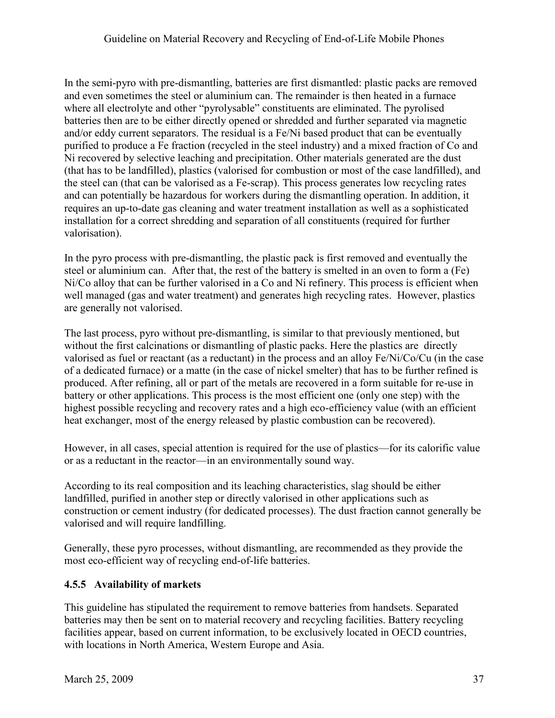In the semi-pyro with pre-dismantling, batteries are first dismantled: plastic packs are removed and even sometimes the steel or aluminium can. The remainder is then heated in a furnace where all electrolyte and other "pyrolysable" constituents are eliminated. The pyrolised batteries then are to be either directly opened or shredded and further separated via magnetic and/or eddy current separators. The residual is a Fe/Ni based product that can be eventually purified to produce a Fe fraction (recycled in the steel industry) and a mixed fraction of Co and Ni recovered by selective leaching and precipitation. Other materials generated are the dust (that has to be landfilled), plastics (valorised for combustion or most of the case landfilled), and the steel can (that can be valorised as a Fe-scrap). This process generates low recycling rates and can potentially be hazardous for workers during the dismantling operation. In addition, it requires an up-to-date gas cleaning and water treatment installation as well as a sophisticated installation for a correct shredding and separation of all constituents (required for further valorisation).

In the pyro process with pre-dismantling, the plastic pack is first removed and eventually the steel or aluminium can. After that, the rest of the battery is smelted in an oven to form a (Fe) Ni/Co alloy that can be further valorised in a Co and Ni refinery. This process is efficient when well managed (gas and water treatment) and generates high recycling rates. However, plastics are generally not valorised.

The last process, pyro without pre-dismantling, is similar to that previously mentioned, but without the first calcinations or dismantling of plastic packs. Here the plastics are directly valorised as fuel or reactant (as a reductant) in the process and an alloy Fe/Ni/Co/Cu (in the case of a dedicated furnace) or a matte (in the case of nickel smelter) that has to be further refined is produced. After refining, all or part of the metals are recovered in a form suitable for re-use in battery or other applications. This process is the most efficient one (only one step) with the highest possible recycling and recovery rates and a high eco-efficiency value (with an efficient heat exchanger, most of the energy released by plastic combustion can be recovered).

However, in all cases, special attention is required for the use of plastics—for its calorific value or as a reductant in the reactor—in an environmentally sound way.

According to its real composition and its leaching characteristics, slag should be either landfilled, purified in another step or directly valorised in other applications such as construction or cement industry (for dedicated processes). The dust fraction cannot generally be valorised and will require landfilling.

Generally, these pyro processes, without dismantling, are recommended as they provide the most eco-efficient way of recycling end-of-life batteries.

#### <span id="page-36-0"></span>**4.5.5 Availability of markets**

This guideline has stipulated the requirement to remove batteries from handsets. Separated batteries may then be sent on to material recovery and recycling facilities. Battery recycling facilities appear, based on current information, to be exclusively located in OECD countries, with locations in North America, Western Europe and Asia.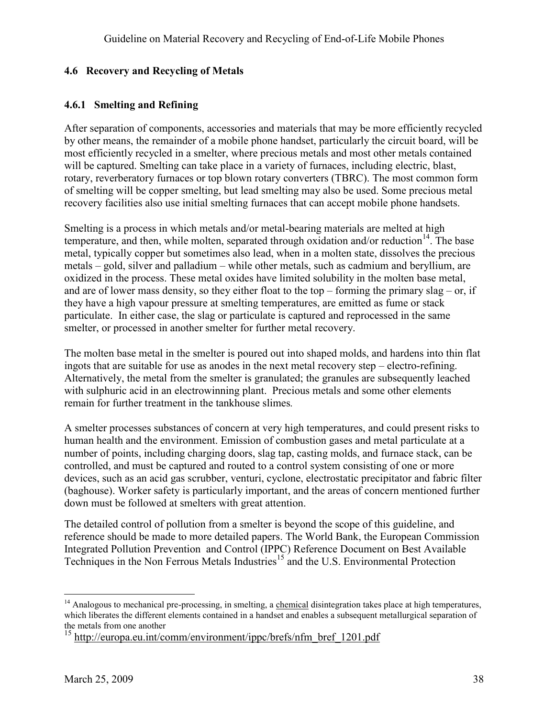#### <span id="page-37-0"></span>**4.6 Recovery and Recycling of Metals**

#### <span id="page-37-1"></span>**4.6.1 Smelting and Refining**

After separation of components, accessories and materials that may be more efficiently recycled by other means, the remainder of a mobile phone handset, particularly the circuit board, will be most efficiently recycled in a smelter, where precious metals and most other metals contained will be captured. Smelting can take place in a variety of furnaces, including electric, blast, rotary, reverberatory furnaces or top blown rotary converters (TBRC). The most common form of smelting will be copper smelting, but lead smelting may also be used. Some precious metal recovery facilities also use initial smelting furnaces that can accept mobile phone handsets.

Smelting is a process in which metals and/or metal-bearing materials are melted at high temperature, and then, while molten, separated through oxidation and/or reduction<sup>14</sup>. The base metal, typically copper but sometimes also lead, when in a molten state, dissolves the precious metals – gold, silver and palladium – while other metals, such as cadmium and beryllium, are oxidized in the process. These metal oxides have limited solubility in the molten base metal, and are of lower mass density, so they either float to the top – forming the primary slag – or, if they have a high vapour pressure at smelting temperatures, are emitted as fume or stack particulate. In either case, the slag or particulate is captured and reprocessed in the same smelter, or processed in another smelter for further metal recovery.

The molten base metal in the smelter is poured out into shaped molds, and hardens into thin flat ingots that are suitable for use as anodes in the next metal recovery step – electro-refining. Alternatively, the metal from the smelter is granulated; the granules are subsequently leached with sulphuric acid in an electrowinning plant. Precious metals and some other elements remain for further treatment in the tankhouse slimes*.*

A smelter processes substances of concern at very high temperatures, and could present risks to human health and the environment. Emission of combustion gases and metal particulate at a number of points, including charging doors, slag tap, casting molds, and furnace stack, can be controlled, and must be captured and routed to a control system consisting of one or more devices, such as an acid gas scrubber, venturi, cyclone, electrostatic precipitator and fabric filter (baghouse). Worker safety is particularly important, and the areas of concern mentioned further down must be followed at smelters with great attention.

The detailed control of pollution from a smelter is beyond the scope of this guideline, and reference should be made to more detailed papers. The World Bank, the European Commission Integrated Pollution Prevention and Control (IPPC) Reference Document on Best Available Techniques in the Non Ferrous Metals Industries<sup>15</sup> and the U.S. Environmental Protection

<u>.</u>

 $14$  Analogous to mechanical pre-processing, in smelting, a chemical disintegration takes place at high temperatures, which liberates the different elements contained in a handset and enables a subsequent metallurgical separation of the metals from one another

<sup>15</sup> http://europa.eu.int/comm/environment/ippc/brefs/nfm\_bref\_1201.pdf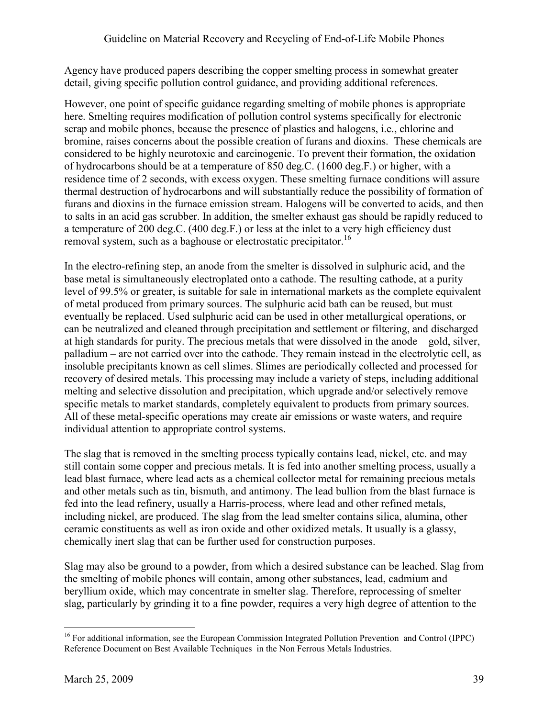Agency have produced papers describing the copper smelting process in somewhat greater detail, giving specific pollution control guidance, and providing additional references.

However, one point of specific guidance regarding smelting of mobile phones is appropriate here. Smelting requires modification of pollution control systems specifically for electronic scrap and mobile phones, because the presence of plastics and halogens, i.e., chlorine and bromine, raises concerns about the possible creation of furans and dioxins. These chemicals are considered to be highly neurotoxic and carcinogenic. To prevent their formation, the oxidation of hydrocarbons should be at a temperature of 850 deg.C. (1600 deg.F.) or higher, with a residence time of 2 seconds, with excess oxygen. These smelting furnace conditions will assure thermal destruction of hydrocarbons and will substantially reduce the possibility of formation of furans and dioxins in the furnace emission stream. Halogens will be converted to acids, and then to salts in an acid gas scrubber. In addition, the smelter exhaust gas should be rapidly reduced to a temperature of 200 deg.C. (400 deg.F.) or less at the inlet to a very high efficiency dust removal system, such as a baghouse or electrostatic precipitator.<sup>16</sup>

In the electro-refining step, an anode from the smelter is dissolved in sulphuric acid, and the base metal is simultaneously electroplated onto a cathode. The resulting cathode, at a purity level of 99.5% or greater, is suitable for sale in international markets as the complete equivalent of metal produced from primary sources. The sulphuric acid bath can be reused, but must eventually be replaced. Used sulphuric acid can be used in other metallurgical operations, or can be neutralized and cleaned through precipitation and settlement or filtering, and discharged at high standards for purity. The precious metals that were dissolved in the anode – gold, silver, palladium – are not carried over into the cathode. They remain instead in the electrolytic cell, as insoluble precipitants known as cell slimes. Slimes are periodically collected and processed for recovery of desired metals. This processing may include a variety of steps, including additional melting and selective dissolution and precipitation, which upgrade and/or selectively remove specific metals to market standards, completely equivalent to products from primary sources. All of these metal-specific operations may create air emissions or waste waters, and require individual attention to appropriate control systems.

The slag that is removed in the smelting process typically contains lead, nickel, etc. and may still contain some copper and precious metals. It is fed into another smelting process, usually a lead blast furnace, where lead acts as a chemical collector metal for remaining precious metals and other metals such as tin, bismuth, and antimony. The lead bullion from the blast furnace is fed into the lead refinery, usually a Harris-process, where lead and other refined metals, including nickel, are produced. The slag from the lead smelter contains silica, alumina, other ceramic constituents as well as iron oxide and other oxidized metals. It usually is a glassy, chemically inert slag that can be further used for construction purposes.

Slag may also be ground to a powder, from which a desired substance can be leached. Slag from the smelting of mobile phones will contain, among other substances, lead, cadmium and beryllium oxide, which may concentrate in smelter slag. Therefore, reprocessing of smelter slag, particularly by grinding it to a fine powder, requires a very high degree of attention to the

<sup>&</sup>lt;u>.</u> <sup>16</sup> For additional information, see the European Commission Integrated Pollution Prevention and Control (IPPC) Reference Document on Best Available Techniques in the Non Ferrous Metals Industries.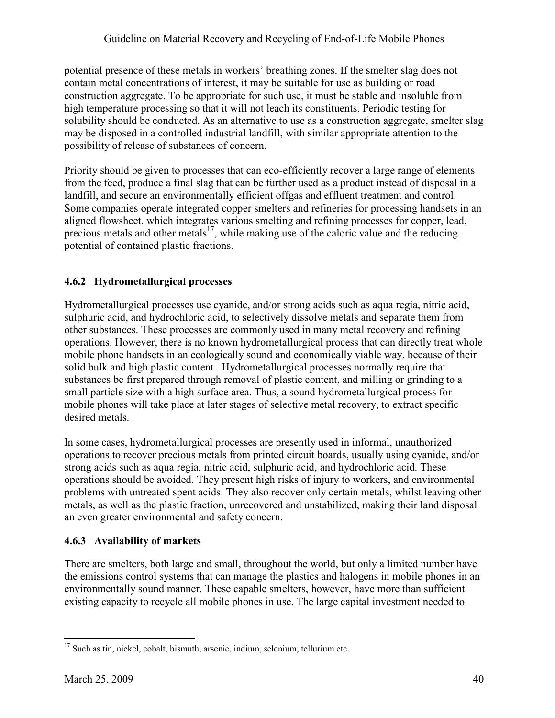potential presence of these metals in workers' breathing zones. If the smelter slag does not contain metal concentrations of interest, it may be suitable for use as building or road construction aggregate. To be appropriate for such use, it must be stable and insoluble from high temperature processing so that it will not leach its constituents. Periodic testing for solubility should be conducted. As an alternative to use as a construction aggregate, smelter slag may be disposed in a controlled industrial landfill, with similar appropriate attention to the possibility of release of substances of concern.

Priority should be given to processes that can eco-efficiently recover a large range of elements from the feed, produce a final slag that can be further used as a product instead of disposal in a landfill, and secure an environmentally efficient offgas and effluent treatment and control. Some companies operate integrated copper smelters and refineries for processing handsets in an aligned flowsheet, which integrates various smelting and refining processes for copper, lead, precious metals and other metals<sup>17</sup>, while making use of the caloric value and the reducing potential of contained plastic fractions.

#### <span id="page-39-0"></span>**4.6.2 Hydrometallurgical processes**

Hydrometallurgical processes use cyanide, and/or strong acids such as aqua regia, nitric acid, sulphuric acid, and hydrochloric acid, to selectively dissolve metals and separate them from other substances. These processes are commonly used in many metal recovery and refining operations. However, there is no known hydrometallurgical process that can directly treat whole mobile phone handsets in an ecologically sound and economically viable way, because of their solid bulk and high plastic content. Hydrometallurgical processes normally require that substances be first prepared through removal of plastic content, and milling or grinding to a small particle size with a high surface area. Thus, a sound hydrometallurgical process for mobile phones will take place at later stages of selective metal recovery, to extract specific desired metals.

In some cases, hydrometallurgical processes are presently used in informal, unauthorized operations to recover precious metals from printed circuit boards, usually using cyanide, and/or strong acids such as aqua regia, nitric acid, sulphuric acid, and hydrochloric acid. These operations should be avoided. They present high risks of injury to workers, and environmental problems with untreated spent acids. They also recover only certain metals, whilst leaving other metals, as well as the plastic fraction, unrecovered and unstabilized, making their land disposal an even greater environmental and safety concern.

#### <span id="page-39-1"></span>**4.6.3 Availability of markets**

There are smelters, both large and small, throughout the world, but only a limited number have the emissions control systems that can manage the plastics and halogens in mobile phones in an environmentally sound manner. These capable smelters, however, have more than sufficient existing capacity to recycle all mobile phones in use. The large capital investment needed to

<sup>1</sup> <sup>17</sup> Such as tin, nickel, cobalt, bismuth, arsenic, indium, selenium, tellurium etc.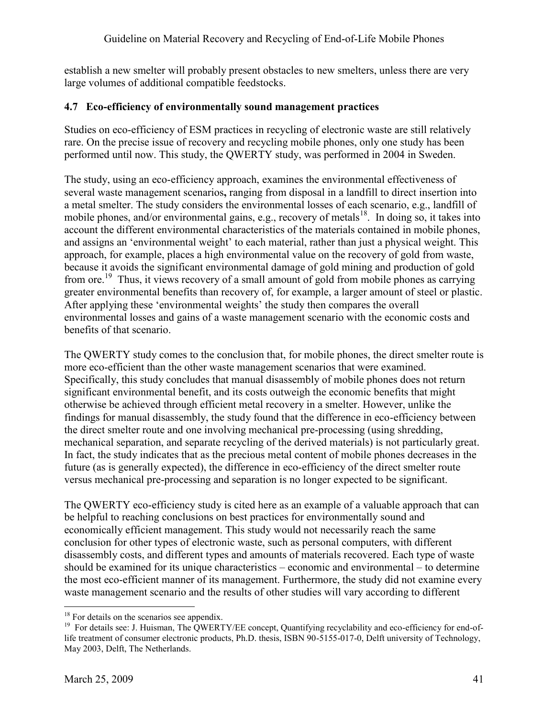establish a new smelter will probably present obstacles to new smelters, unless there are very large volumes of additional compatible feedstocks.

#### <span id="page-40-0"></span>**4.7 Eco-efficiency of environmentally sound management practices**

Studies on eco-efficiency of ESM practices in recycling of electronic waste are still relatively rare. On the precise issue of recovery and recycling mobile phones, only one study has been performed until now. This study, the QWERTY study, was performed in 2004 in Sweden.

The study, using an eco-efficiency approach, examines the environmental effectiveness of several waste management scenarios**,** ranging from disposal in a landfill to direct insertion into a metal smelter. The study considers the environmental losses of each scenario, e.g., landfill of mobile phones, and/or environmental gains, e.g., recovery of metals<sup>18</sup>. In doing so, it takes into account the different environmental characteristics of the materials contained in mobile phones, and assigns an 'environmental weight' to each material, rather than just a physical weight. This approach, for example, places a high environmental value on the recovery of gold from waste, because it avoids the significant environmental damage of gold mining and production of gold from ore.<sup>19</sup> Thus, it views recovery of a small amount of gold from mobile phones as carrying greater environmental benefits than recovery of, for example, a larger amount of steel or plastic. After applying these 'environmental weights' the study then compares the overall environmental losses and gains of a waste management scenario with the economic costs and benefits of that scenario.

The QWERTY study comes to the conclusion that, for mobile phones, the direct smelter route is more eco-efficient than the other waste management scenarios that were examined. Specifically, this study concludes that manual disassembly of mobile phones does not return significant environmental benefit, and its costs outweigh the economic benefits that might otherwise be achieved through efficient metal recovery in a smelter. However, unlike the findings for manual disassembly, the study found that the difference in eco-efficiency between the direct smelter route and one involving mechanical pre-processing (using shredding, mechanical separation, and separate recycling of the derived materials) is not particularly great. In fact, the study indicates that as the precious metal content of mobile phones decreases in the future (as is generally expected), the difference in eco-efficiency of the direct smelter route versus mechanical pre-processing and separation is no longer expected to be significant.

The QWERTY eco-efficiency study is cited here as an example of a valuable approach that can be helpful to reaching conclusions on best practices for environmentally sound and economically efficient management. This study would not necessarily reach the same conclusion for other types of electronic waste, such as personal computers, with different disassembly costs, and different types and amounts of materials recovered. Each type of waste should be examined for its unique characteristics – economic and environmental – to determine the most eco-efficient manner of its management. Furthermore, the study did not examine every waste management scenario and the results of other studies will vary according to different

<u>.</u>

<sup>&</sup>lt;sup>18</sup> For details on the scenarios see appendix.

<sup>&</sup>lt;sup>19</sup> For details see: J. Huisman, The QWERTY/EE concept, Quantifying recyclability and eco-efficiency for end-oflife treatment of consumer electronic products, Ph.D. thesis, ISBN 90-5155-017-0, Delft university of Technology, May 2003, Delft, The Netherlands.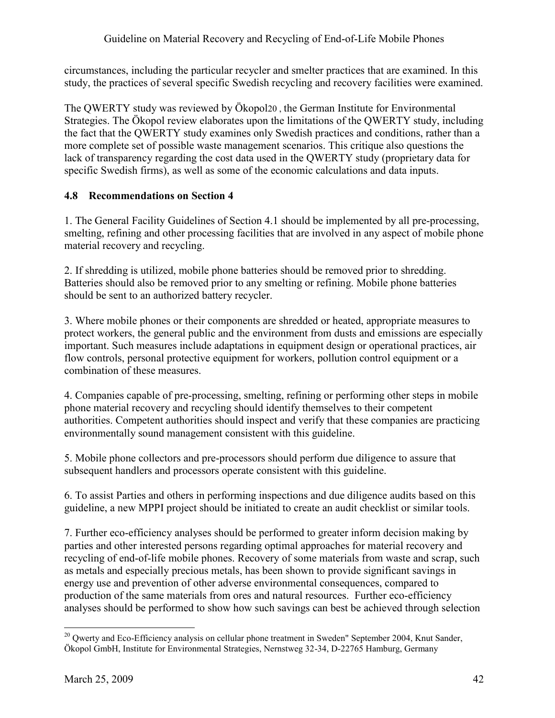circumstances, including the particular recycler and smelter practices that are examined. In this study, the practices of several specific Swedish recycling and recovery facilities were examined.

The QWERTY study was reviewed by Ökopol20 , the German Institute for Environmental Strategies. The Ökopol review elaborates upon the limitations of the QWERTY study, including the fact that the QWERTY study examines only Swedish practices and conditions, rather than a more complete set of possible waste management scenarios. This critique also questions the lack of transparency regarding the cost data used in the QWERTY study (proprietary data for specific Swedish firms), as well as some of the economic calculations and data inputs.

#### **4.8 Recommendations on Section 4**

1. The General Facility Guidelines of Section 4.1 should be implemented by all pre-processing, smelting, refining and other processing facilities that are involved in any aspect of mobile phone material recovery and recycling.

2. If shredding is utilized, mobile phone batteries should be removed prior to shredding. Batteries should also be removed prior to any smelting or refining. Mobile phone batteries should be sent to an authorized battery recycler.

3. Where mobile phones or their components are shredded or heated, appropriate measures to protect workers, the general public and the environment from dusts and emissions are especially important. Such measures include adaptations in equipment design or operational practices, air flow controls, personal protective equipment for workers, pollution control equipment or a combination of these measures.

4. Companies capable of pre-processing, smelting, refining or performing other steps in mobile phone material recovery and recycling should identify themselves to their competent authorities. Competent authorities should inspect and verify that these companies are practicing environmentally sound management consistent with this guideline.

5. Mobile phone collectors and pre-processors should perform due diligence to assure that subsequent handlers and processors operate consistent with this guideline.

6. To assist Parties and others in performing inspections and due diligence audits based on this guideline, a new MPPI project should be initiated to create an audit checklist or similar tools.

7. Further eco-efficiency analyses should be performed to greater inform decision making by parties and other interested persons regarding optimal approaches for material recovery and recycling of end-of-life mobile phones. Recovery of some materials from waste and scrap, such as metals and especially precious metals, has been shown to provide significant savings in energy use and prevention of other adverse environmental consequences, compared to production of the same materials from ores and natural resources. Further eco-efficiency analyses should be performed to show how such savings can best be achieved through selection

<sup>&</sup>lt;u>.</u> <sup>20</sup> Owerty and Eco-Efficiency analysis on cellular phone treatment in Sweden" September 2004, Knut Sander, Ökopol GmbH, Institute for Environmental Strategies, Nernstweg 32-34, D-22765 Hamburg, Germany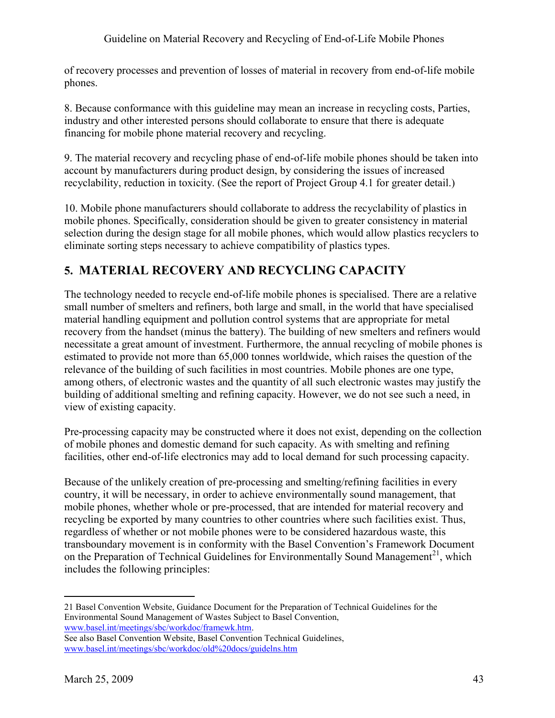of recovery processes and prevention of losses of material in recovery from end-of-life mobile phones.

8. Because conformance with this guideline may mean an increase in recycling costs, Parties, industry and other interested persons should collaborate to ensure that there is adequate financing for mobile phone material recovery and recycling.

9. The material recovery and recycling phase of end-of-life mobile phones should be taken into account by manufacturers during product design, by considering the issues of increased recyclability, reduction in toxicity. (See the report of Project Group 4.1 for greater detail.)

10. Mobile phone manufacturers should collaborate to address the recyclability of plastics in mobile phones. Specifically, consideration should be given to greater consistency in material selection during the design stage for all mobile phones, which would allow plastics recyclers to eliminate sorting steps necessary to achieve compatibility of plastics types.

## <span id="page-42-0"></span>**5. MATERIAL RECOVERY AND RECYCLING CAPACITY**

The technology needed to recycle end-of-life mobile phones is specialised. There are a relative small number of smelters and refiners, both large and small, in the world that have specialised material handling equipment and pollution control systems that are appropriate for metal recovery from the handset (minus the battery). The building of new smelters and refiners would necessitate a great amount of investment. Furthermore, the annual recycling of mobile phones is estimated to provide not more than 65,000 tonnes worldwide, which raises the question of the relevance of the building of such facilities in most countries. Mobile phones are one type, among others, of electronic wastes and the quantity of all such electronic wastes may justify the building of additional smelting and refining capacity. However, we do not see such a need, in view of existing capacity.

Pre-processing capacity may be constructed where it does not exist, depending on the collection of mobile phones and domestic demand for such capacity. As with smelting and refining facilities, other end-of-life electronics may add to local demand for such processing capacity.

Because of the unlikely creation of pre-processing and smelting/refining facilities in every country, it will be necessary, in order to achieve environmentally sound management, that mobile phones, whether whole or pre-processed, that are intended for material recovery and recycling be exported by many countries to other countries where such facilities exist. Thus, regardless of whether or not mobile phones were to be considered hazardous waste, this transboundary movement is in conformity with the Basel Convention's Framework Document on the Preparation of Technical Guidelines for Environmentally Sound Management<sup>21</sup>, which includes the following principles:

<u>.</u>

<sup>21</sup> Basel Convention Website, Guidance Document for the Preparation of Technical Guidelines for the Environmental Sound Management of Wastes Subject to Basel Convention, [www.basel.int/meetings/sbc/workdoc/framewk.htm.](http://www.basel.int/meetings/sbc/workdoc/framewk.htm)

See also Basel Convention Website, Basel Convention Technical Guidelines, [www.basel.int/meetings/sbc/workdoc/old%20docs/guidelns.htm](http://www.basel.int/meetings/sbc/workdoc/old%20docs/guidelns.htm)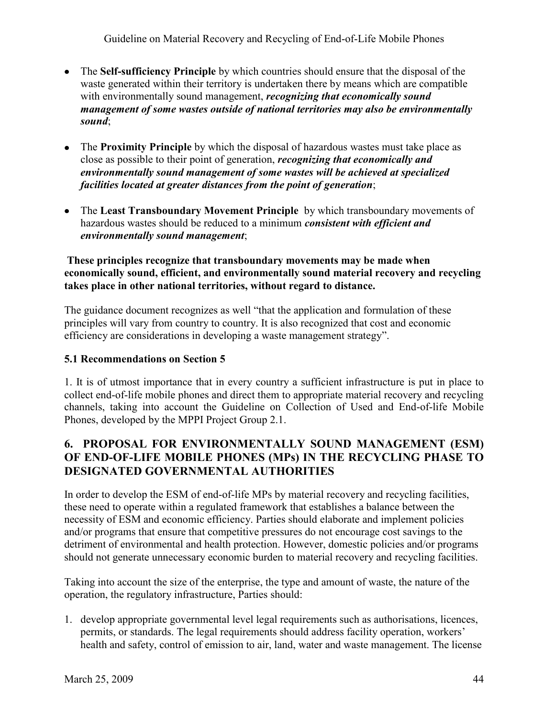- The **Self-sufficiency Principle** by which countries should ensure that the disposal of the  $\bullet$ waste generated within their territory is undertaken there by means which are compatible with environmentally sound management, *recognizing that economically sound management of some wastes outside of national territories may also be environmentally sound*;
- The **Proximity Principle** by which the disposal of hazardous wastes must take place as  $\bullet$ close as possible to their point of generation, *recognizing that economically and environmentally sound management of some wastes will be achieved at specialized facilities located at greater distances from the point of generation*;
- The **Least Transboundary Movement Principle** by which transboundary movements of hazardous wastes should be reduced to a minimum *consistent with efficient and environmentally sound management*;

**These principles recognize that transboundary movements may be made when economically sound, efficient, and environmentally sound material recovery and recycling takes place in other national territories, without regard to distance.**

The guidance document recognizes as well "that the application and formulation of these principles will vary from country to country. It is also recognized that cost and economic efficiency are considerations in developing a waste management strategy".

#### <span id="page-43-0"></span>**5.1 Recommendations on Section 5**

1. It is of utmost importance that in every country a sufficient infrastructure is put in place to collect end-of-life mobile phones and direct them to appropriate material recovery and recycling channels, taking into account the Guideline on Collection of Used and End-of-life Mobile Phones, developed by the MPPI Project Group 2.1.

#### <span id="page-43-1"></span>**6. PROPOSAL FOR ENVIRONMENTALLY SOUND MANAGEMENT (ESM) OF END-OF-LIFE MOBILE PHONES (MPs) IN THE RECYCLING PHASE TO DESIGNATED GOVERNMENTAL AUTHORITIES**

In order to develop the ESM of end-of-life MPs by material recovery and recycling facilities, these need to operate within a regulated framework that establishes a balance between the necessity of ESM and economic efficiency. Parties should elaborate and implement policies and/or programs that ensure that competitive pressures do not encourage cost savings to the detriment of environmental and health protection. However, domestic policies and/or programs should not generate unnecessary economic burden to material recovery and recycling facilities.

Taking into account the size of the enterprise, the type and amount of waste, the nature of the operation, the regulatory infrastructure, Parties should:

1. develop appropriate governmental level legal requirements such as authorisations, licences, permits, or standards. The legal requirements should address facility operation, workers' health and safety, control of emission to air, land, water and waste management. The license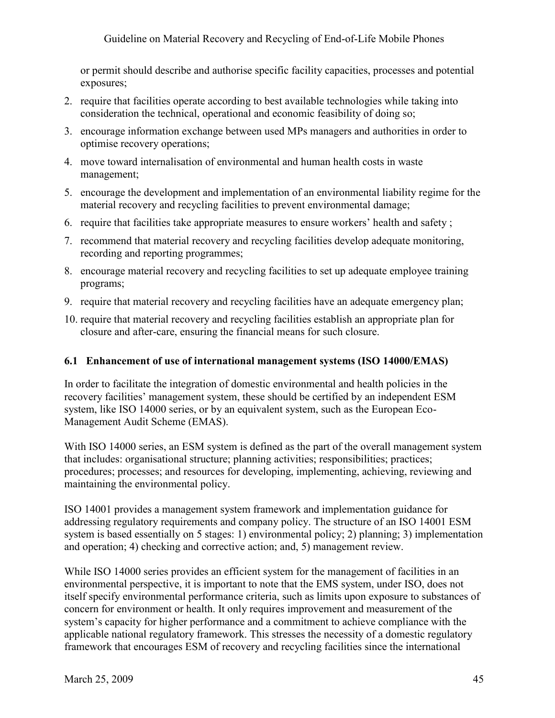or permit should describe and authorise specific facility capacities, processes and potential exposures;

- 2. require that facilities operate according to best available technologies while taking into consideration the technical, operational and economic feasibility of doing so;
- 3. encourage information exchange between used MPs managers and authorities in order to optimise recovery operations;
- 4. move toward internalisation of environmental and human health costs in waste management;
- 5. encourage the development and implementation of an environmental liability regime for the material recovery and recycling facilities to prevent environmental damage;
- 6. require that facilities take appropriate measures to ensure workers' health and safety ;
- 7. recommend that material recovery and recycling facilities develop adequate monitoring, recording and reporting programmes;
- 8. encourage material recovery and recycling facilities to set up adequate employee training programs;
- 9. require that material recovery and recycling facilities have an adequate emergency plan;
- 10. require that material recovery and recycling facilities establish an appropriate plan for closure and after-care, ensuring the financial means for such closure.

#### <span id="page-44-0"></span>**6.1 Enhancement of use of international management systems (ISO 14000/EMAS)**

In order to facilitate the integration of domestic environmental and health policies in the recovery facilities' management system, these should be certified by an independent ESM system, like ISO 14000 series, or by an equivalent system, such as the European Eco-Management Audit Scheme (EMAS).

With ISO 14000 series, an ESM system is defined as the part of the overall management system that includes: organisational structure; planning activities; responsibilities; practices; procedures; processes; and resources for developing, implementing, achieving, reviewing and maintaining the environmental policy.

ISO 14001 provides a management system framework and implementation guidance for addressing regulatory requirements and company policy. The structure of an ISO 14001 ESM system is based essentially on 5 stages: 1) environmental policy; 2) planning; 3) implementation and operation; 4) checking and corrective action; and, 5) management review.

While ISO 14000 series provides an efficient system for the management of facilities in an environmental perspective, it is important to note that the EMS system, under ISO, does not itself specify environmental performance criteria, such as limits upon exposure to substances of concern for environment or health. It only requires improvement and measurement of the system's capacity for higher performance and a commitment to achieve compliance with the applicable national regulatory framework. This stresses the necessity of a domestic regulatory framework that encourages ESM of recovery and recycling facilities since the international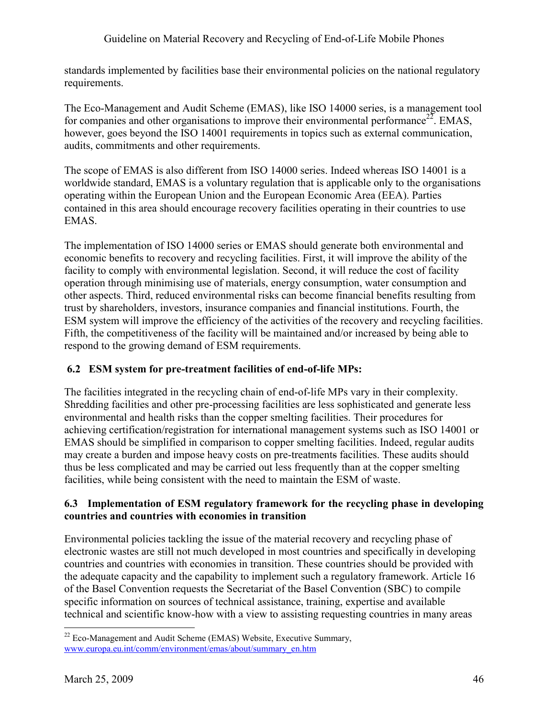standards implemented by facilities base their environmental policies on the national regulatory requirements.

The Eco-Management and Audit Scheme (EMAS), like ISO 14000 series, is a management tool for companies and other organisations to improve their environmental performance<sup>22</sup>. EMAS, however, goes beyond the ISO 14001 requirements in topics such as external communication, audits, commitments and other requirements.

The scope of EMAS is also different from ISO 14000 series. Indeed whereas ISO 14001 is a worldwide standard, EMAS is a voluntary regulation that is applicable only to the organisations operating within the European Union and the European Economic Area (EEA). Parties contained in this area should encourage recovery facilities operating in their countries to use EMAS.

The implementation of ISO 14000 series or EMAS should generate both environmental and economic benefits to recovery and recycling facilities. First, it will improve the ability of the facility to comply with environmental legislation. Second, it will reduce the cost of facility operation through minimising use of materials, energy consumption, water consumption and other aspects. Third, reduced environmental risks can become financial benefits resulting from trust by shareholders, investors, insurance companies and financial institutions. Fourth, the ESM system will improve the efficiency of the activities of the recovery and recycling facilities. Fifth, the competitiveness of the facility will be maintained and/or increased by being able to respond to the growing demand of ESM requirements.

#### <span id="page-45-0"></span>**6.2 ESM system for pre-treatment facilities of end-of-life MPs:**

The facilities integrated in the recycling chain of end-of-life MPs vary in their complexity. Shredding facilities and other pre-processing facilities are less sophisticated and generate less environmental and health risks than the copper smelting facilities. Their procedures for achieving certification/registration for international management systems such as ISO 14001 or EMAS should be simplified in comparison to copper smelting facilities. Indeed, regular audits may create a burden and impose heavy costs on pre-treatments facilities. These audits should thus be less complicated and may be carried out less frequently than at the copper smelting facilities, while being consistent with the need to maintain the ESM of waste.

#### <span id="page-45-1"></span>**6.3 Implementation of ESM regulatory framework for the recycling phase in developing countries and countries with economies in transition**

Environmental policies tackling the issue of the material recovery and recycling phase of electronic wastes are still not much developed in most countries and specifically in developing countries and countries with economies in transition. These countries should be provided with the adequate capacity and the capability to implement such a regulatory framework. Article 16 of the Basel Convention requests the Secretariat of the Basel Convention (SBC) to compile specific information on sources of technical assistance, training, expertise and available technical and scientific know-how with a view to assisting requesting countries in many areas

<u>.</u>

 $22$  Eco-Management and Audit Scheme (EMAS) Website, Executive Summary, www.europa.eu.int/comm/environment/emas/about/summary\_en.htm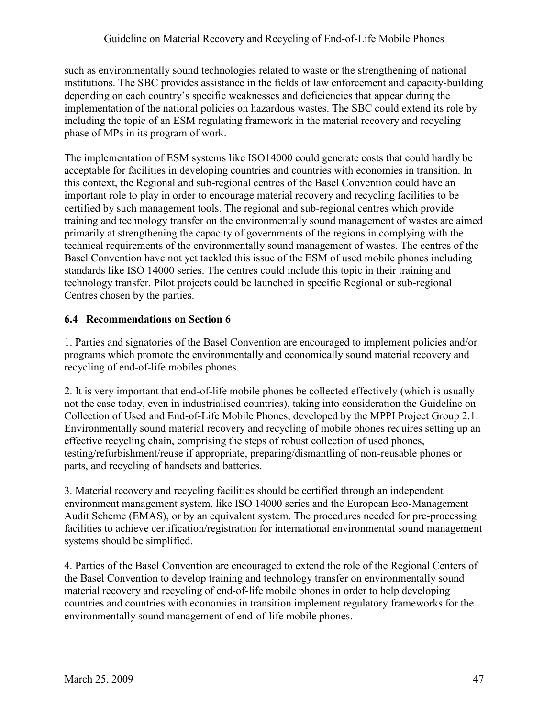such as environmentally sound technologies related to waste or the strengthening of national institutions. The SBC provides assistance in the fields of law enforcement and capacity-building depending on each country's specific weaknesses and deficiencies that appear during the implementation of the national policies on hazardous wastes. The SBC could extend its role by including the topic of an ESM regulating framework in the material recovery and recycling phase of MPs in its program of work.

The implementation of ESM systems like ISO14000 could generate costs that could hardly be acceptable for facilities in developing countries and countries with economies in transition. In this context, the Regional and sub-regional centres of the Basel Convention could have an important role to play in order to encourage material recovery and recycling facilities to be certified by such management tools. The regional and sub-regional centres which provide training and technology transfer on the environmentally sound management of wastes are aimed primarily at strengthening the capacity of governments of the regions in complying with the technical requirements of the environmentally sound management of wastes. The centres of the Basel Convention have not yet tackled this issue of the ESM of used mobile phones including standards like ISO 14000 series. The centres could include this topic in their training and technology transfer. Pilot projects could be launched in specific Regional or sub-regional Centres chosen by the parties.

#### <span id="page-46-0"></span>**6.4 Recommendations on Section 6**

1. Parties and signatories of the Basel Convention are encouraged to implement policies and/or programs which promote the environmentally and economically sound material recovery and recycling of end-of-life mobiles phones.

2. It is very important that end-of-life mobile phones be collected effectively (which is usually not the case today, even in industrialised countries), taking into consideration the Guideline on Collection of Used and End-of-Life Mobile Phones, developed by the MPPI Project Group 2.1. Environmentally sound material recovery and recycling of mobile phones requires setting up an effective recycling chain, comprising the steps of robust collection of used phones, testing/refurbishment/reuse if appropriate, preparing/dismantling of non-reusable phones or parts, and recycling of handsets and batteries.

3. Material recovery and recycling facilities should be certified through an independent environment management system, like ISO 14000 series and the European Eco-Management Audit Scheme (EMAS), or by an equivalent system. The procedures needed for pre-processing facilities to achieve certification/registration for international environmental sound management systems should be simplified.

4. Parties of the Basel Convention are encouraged to extend the role of the Regional Centers of the Basel Convention to develop training and technology transfer on environmentally sound material recovery and recycling of end-of-life mobile phones in order to help developing countries and countries with economies in transition implement regulatory frameworks for the environmentally sound management of end-of-life mobile phones.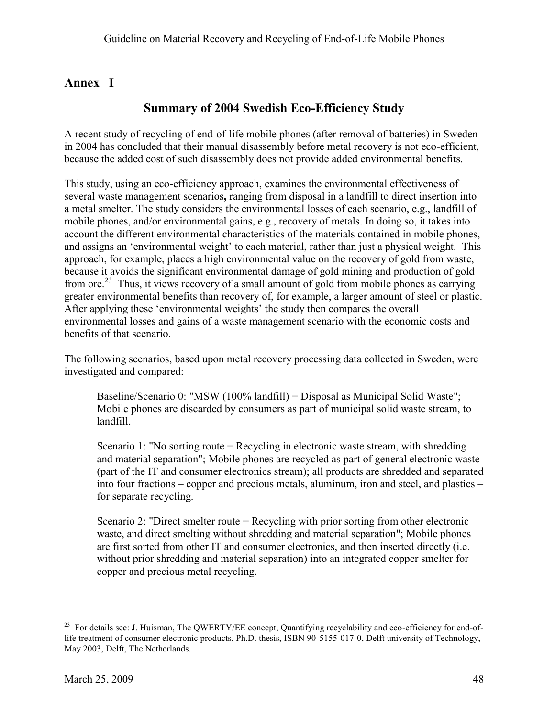## **Annex I**

## **Summary of 2004 Swedish Eco-Efficiency Study**

A recent study of recycling of end-of-life mobile phones (after removal of batteries) in Sweden in 2004 has concluded that their manual disassembly before metal recovery is not eco-efficient, because the added cost of such disassembly does not provide added environmental benefits.

This study, using an eco-efficiency approach, examines the environmental effectiveness of several waste management scenarios**,** ranging from disposal in a landfill to direct insertion into a metal smelter. The study considers the environmental losses of each scenario, e.g., landfill of mobile phones, and/or environmental gains, e.g., recovery of metals. In doing so, it takes into account the different environmental characteristics of the materials contained in mobile phones, and assigns an 'environmental weight' to each material, rather than just a physical weight. This approach, for example, places a high environmental value on the recovery of gold from waste, because it avoids the significant environmental damage of gold mining and production of gold from ore.<sup>23</sup> Thus, it views recovery of a small amount of gold from mobile phones as carrying greater environmental benefits than recovery of, for example, a larger amount of steel or plastic. After applying these 'environmental weights' the study then compares the overall environmental losses and gains of a waste management scenario with the economic costs and benefits of that scenario.

The following scenarios, based upon metal recovery processing data collected in Sweden, were investigated and compared:

Baseline/Scenario 0: "MSW (100% landfill) = Disposal as Municipal Solid Waste"; Mobile phones are discarded by consumers as part of municipal solid waste stream, to landfill.

Scenario 1: "No sorting route = Recycling in electronic waste stream, with shredding and material separation"; Mobile phones are recycled as part of general electronic waste (part of the IT and consumer electronics stream); all products are shredded and separated into four fractions – copper and precious metals, aluminum, iron and steel, and plastics – for separate recycling.

Scenario 2: "Direct smelter route = Recycling with prior sorting from other electronic waste, and direct smelting without shredding and material separation"; Mobile phones are first sorted from other IT and consumer electronics, and then inserted directly (i.e. without prior shredding and material separation) into an integrated copper smelter for copper and precious metal recycling.

 $\frac{1}{23}$  For details see: J. Huisman, The QWERTY/EE concept, Quantifying recyclability and eco-efficiency for end-oflife treatment of consumer electronic products, Ph.D. thesis, ISBN 90-5155-017-0, Delft university of Technology, May 2003, Delft, The Netherlands.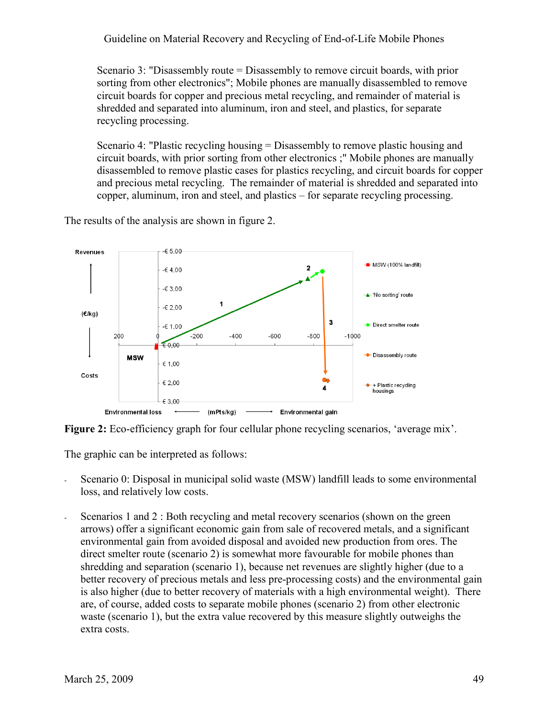Scenario 3: "Disassembly route = Disassembly to remove circuit boards, with prior sorting from other electronics"; Mobile phones are manually disassembled to remove circuit boards for copper and precious metal recycling, and remainder of material is shredded and separated into aluminum, iron and steel, and plastics, for separate recycling processing.

Scenario 4: "Plastic recycling housing = Disassembly to remove plastic housing and circuit boards, with prior sorting from other electronics ;" Mobile phones are manually disassembled to remove plastic cases for plastics recycling, and circuit boards for copper and precious metal recycling. The remainder of material is shredded and separated into copper, aluminum, iron and steel, and plastics – for separate recycling processing.

The results of the analysis are shown in figure 2.



**Figure 2:** Eco-efficiency graph for four cellular phone recycling scenarios, 'average mix'.

The graphic can be interpreted as follows:

- Scenario 0: Disposal in municipal solid waste (MSW) landfill leads to some environmental loss, and relatively low costs.
- Scenarios 1 and 2 : Both recycling and metal recovery scenarios (shown on the green arrows) offer a significant economic gain from sale of recovered metals, and a significant environmental gain from avoided disposal and avoided new production from ores. The direct smelter route (scenario 2) is somewhat more favourable for mobile phones than shredding and separation (scenario 1), because net revenues are slightly higher (due to a better recovery of precious metals and less pre-processing costs) and the environmental gain is also higher (due to better recovery of materials with a high environmental weight). There are, of course, added costs to separate mobile phones (scenario 2) from other electronic waste (scenario 1), but the extra value recovered by this measure slightly outweighs the extra costs.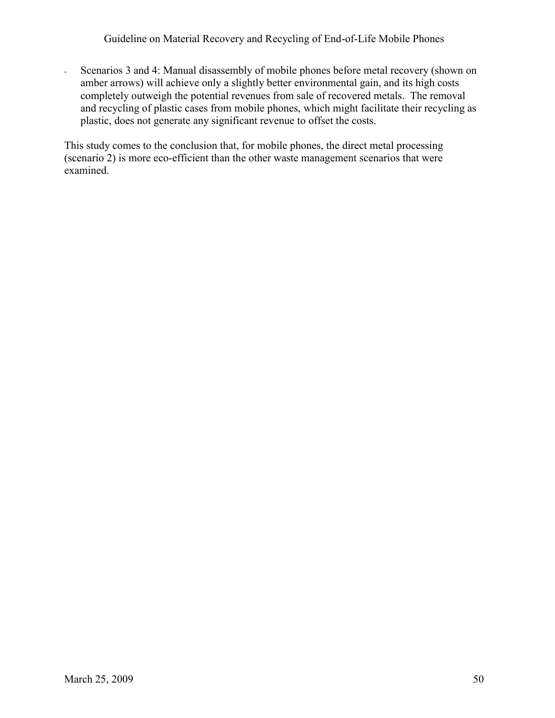- Scenarios 3 and 4: Manual disassembly of mobile phones before metal recovery (shown on amber arrows) will achieve only a slightly better environmental gain, and its high costs completely outweigh the potential revenues from sale of recovered metals. The removal and recycling of plastic cases from mobile phones, which might facilitate their recycling as plastic, does not generate any significant revenue to offset the costs.

This study comes to the conclusion that, for mobile phones, the direct metal processing (scenario 2) is more eco-efficient than the other waste management scenarios that were examined.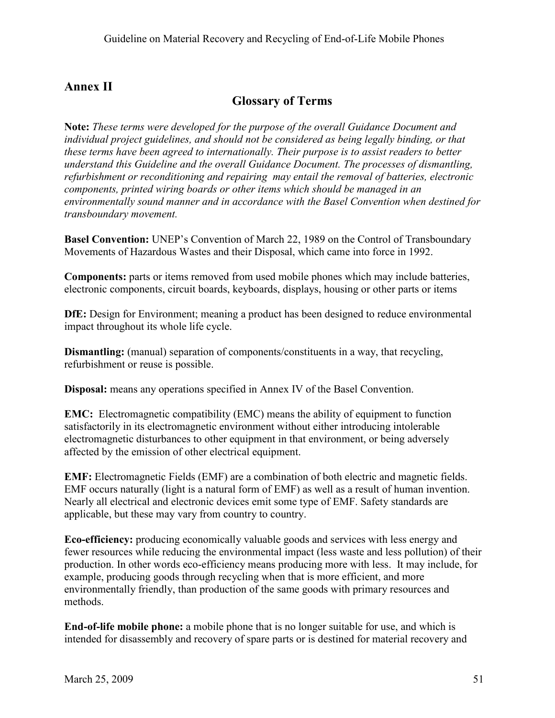## **Annex II**

## **Glossary of Terms**

**Note:** *These terms were developed for the purpose of the overall Guidance Document and individual project guidelines, and should not be considered as being legally binding, or that these terms have been agreed to internationally. Their purpose is to assist readers to better understand this Guideline and the overall Guidance Document. The processes of dismantling, refurbishment or reconditioning and repairing may entail the removal of batteries, electronic components, printed wiring boards or other items which should be managed in an environmentally sound manner and in accordance with the Basel Convention when destined for transboundary movement.*

**Basel Convention:** UNEP's Convention of March 22, 1989 on the Control of Transboundary Movements of Hazardous Wastes and their Disposal, which came into force in 1992.

**Components:** parts or items removed from used mobile phones which may include batteries, electronic components, circuit boards, keyboards, displays, housing or other parts or items

**DfE:** Design for Environment; meaning a product has been designed to reduce environmental impact throughout its whole life cycle.

**Dismantling:** (manual) separation of components/constituents in a way, that recycling, refurbishment or reuse is possible.

**Disposal:** means any operations specified in Annex IV of the Basel Convention.

**EMC:** Electromagnetic compatibility (EMC) means the ability of equipment to function satisfactorily in its electromagnetic environment without either introducing intolerable electromagnetic disturbances to other equipment in that environment, or being adversely affected by the emission of other electrical equipment.

**EMF:** Electromagnetic Fields (EMF) are a combination of both electric and magnetic fields. EMF occurs naturally (light is a natural form of EMF) as well as a result of human invention. Nearly all electrical and electronic devices emit some type of EMF. Safety standards are applicable, but these may vary from country to country.

**Eco-efficiency:** producing economically valuable goods and services with less energy and fewer resources while reducing the environmental impact (less waste and less pollution) of their production. In other words eco-efficiency means producing more with less. It may include, for example, producing goods through recycling when that is more efficient, and more environmentally friendly, than production of the same goods with primary resources and methods.

**End-of-life mobile phone:** a mobile phone that is no longer suitable for use, and which is intended for disassembly and recovery of spare parts or is destined for material recovery and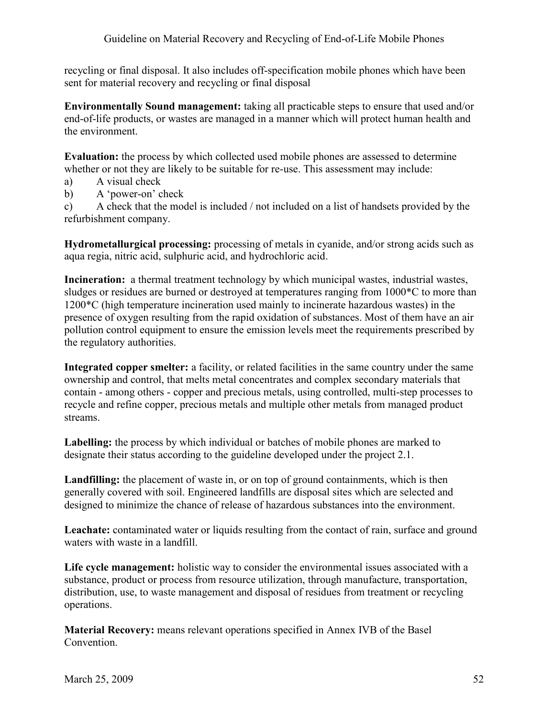recycling or final disposal. It also includes off-specification mobile phones which have been sent for material recovery and recycling or final disposal

**Environmentally Sound management:** taking all practicable steps to ensure that used and/or end-of-life products, or wastes are managed in a manner which will protect human health and the environment.

**Evaluation:** the process by which collected used mobile phones are assessed to determine whether or not they are likely to be suitable for re-use. This assessment may include:

- a) A visual check
- b) A 'power-on' check

c) A check that the model is included / not included on a list of handsets provided by the refurbishment company.

**Hydrometallurgical processing:** processing of metals in cyanide, and/or strong acids such as aqua regia, nitric acid, sulphuric acid, and hydrochloric acid.

**Incineration:** a thermal treatment technology by which municipal wastes, industrial wastes, sludges or residues are burned or destroyed at temperatures ranging from 1000\*C to more than 1200\*C (high temperature incineration used mainly to incinerate hazardous wastes) in the presence of oxygen resulting from the rapid oxidation of substances. Most of them have an air pollution control equipment to ensure the emission levels meet the requirements prescribed by the regulatory authorities.

**Integrated copper smelter:** a facility, or related facilities in the same country under the same ownership and control, that melts metal concentrates and complex secondary materials that contain - among others - copper and precious metals, using controlled, multi-step processes to recycle and refine copper, precious metals and multiple other metals from managed product streams.

Labelling: the process by which individual or batches of mobile phones are marked to designate their status according to the guideline developed under the project 2.1.

Landfilling: the placement of waste in, or on top of ground containments, which is then generally covered with soil. Engineered landfills are disposal sites which are selected and designed to minimize the chance of release of hazardous substances into the environment.

Leachate: contaminated water or liquids resulting from the contact of rain, surface and ground waters with waste in a landfill.

Life cycle management: holistic way to consider the environmental issues associated with a substance, product or process from resource utilization, through manufacture, transportation, distribution, use, to waste management and disposal of residues from treatment or recycling operations.

**Material Recovery:** means relevant operations specified in Annex IVB of the Basel Convention.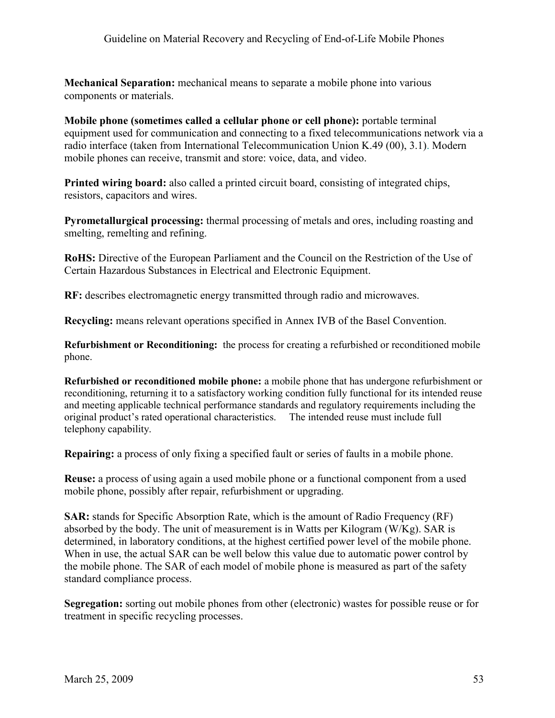**Mechanical Separation:** mechanical means to separate a mobile phone into various components or materials.

**Mobile phone (sometimes called a cellular phone or cell phone):** portable terminal equipment used for communication and connecting to a fixed telecommunications network via a radio interface (taken from International Telecommunication Union K.49 (00), 3.1). Modern mobile phones can receive, transmit and store: voice, data, and video.

**Printed wiring board:** also called a printed circuit board, consisting of integrated chips, resistors, capacitors and wires.

**Pyrometallurgical processing:** thermal processing of metals and ores, including roasting and smelting, remelting and refining.

**RoHS:** Directive of the European Parliament and the Council on the Restriction of the Use of Certain Hazardous Substances in Electrical and Electronic Equipment.

**RF:** describes electromagnetic energy transmitted through radio and microwaves.

**Recycling:** means relevant operations specified in Annex IVB of the Basel Convention.

**Refurbishment or Reconditioning:** the process for creating a refurbished or reconditioned mobile phone.

**Refurbished or reconditioned mobile phone:** a mobile phone that has undergone refurbishment or reconditioning, returning it to a satisfactory working condition fully functional for its intended reuse and meeting applicable technical performance standards and regulatory requirements including the original product's rated operational characteristics. The intended reuse must include full telephony capability.

**Repairing:** a process of only fixing a specified fault or series of faults in a mobile phone.

**Reuse:** a process of using again a used mobile phone or a functional component from a used mobile phone, possibly after repair, refurbishment or upgrading.

**SAR:** stands for Specific Absorption Rate, which is the amount of Radio Frequency (RF) absorbed by the body. The unit of measurement is in Watts per Kilogram (W/Kg). SAR is determined, in laboratory conditions, at the highest certified power level of the mobile phone. When in use, the actual SAR can be well below this value due to automatic power control by the mobile phone. The SAR of each model of mobile phone is measured as part of the safety standard compliance process.

**Segregation:** sorting out mobile phones from other (electronic) wastes for possible reuse or for treatment in specific recycling processes.